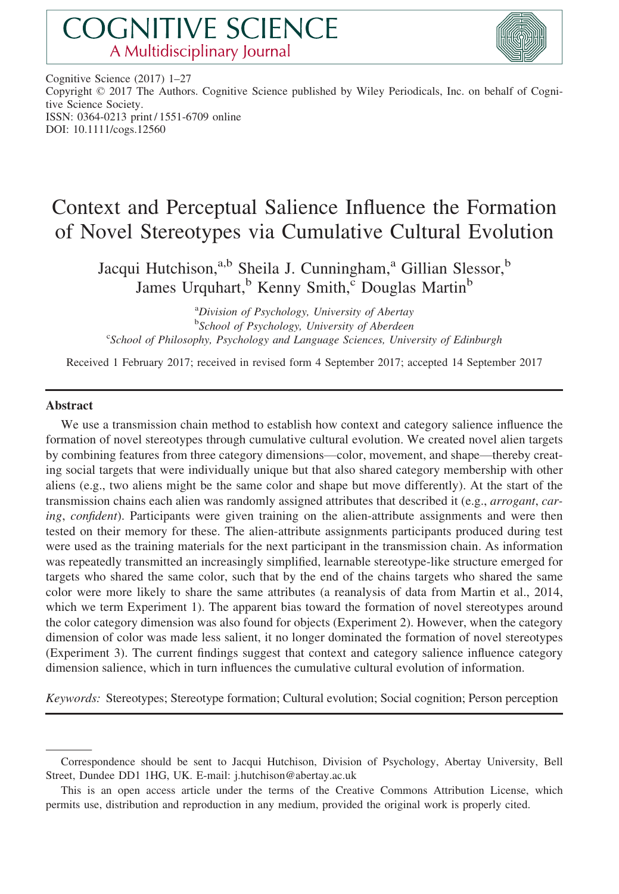# **COGNITIVE SCIENCE** A Multidisciplinary Journal



Cognitive Science (2017) 1–27 Copyright © 2017 The Authors. Cognitive Science published by Wiley Periodicals, Inc. on behalf of Cognitive Science Society. ISSN: 0364-0213 print / 1551-6709 online DOI: 10.1111/cogs.12560

# Context and Perceptual Salience Influence the Formation of Novel Stereotypes via Cumulative Cultural Evolution

Jacqui Hutchison,<sup>a,b</sup> Sheila J. Cunningham,<sup>a</sup> Gillian Slessor,<sup>b</sup> James Urquhart,<sup>b</sup> Kenny Smith,<sup>c</sup> Douglas Martin<sup>b</sup>

<sup>a</sup>Division of Psychology, University of Abertay <sup>b</sup>School of Psychology, University of Aberdeen<br><sup>C</sup>School of Philosophy, Psychology and Language Sciences, Unive  $c$ School of Philosophy, Psychology and Language Sciences, University of Edinburgh

Received 1 February 2017; received in revised form 4 September 2017; accepted 14 September 2017

#### Abstract

We use a transmission chain method to establish how context and category salience influence the formation of novel stereotypes through cumulative cultural evolution. We created novel alien targets by combining features from three category dimensions—color, movement, and shape—thereby creating social targets that were individually unique but that also shared category membership with other aliens (e.g., two aliens might be the same color and shape but move differently). At the start of the transmission chains each alien was randomly assigned attributes that described it (e.g., arrogant, caring, confident). Participants were given training on the alien-attribute assignments and were then tested on their memory for these. The alien-attribute assignments participants produced during test were used as the training materials for the next participant in the transmission chain. As information was repeatedly transmitted an increasingly simplified, learnable stereotype-like structure emerged for targets who shared the same color, such that by the end of the chains targets who shared the same color were more likely to share the same attributes (a reanalysis of data from Martin et al., 2014, which we term Experiment 1). The apparent bias toward the formation of novel stereotypes around the color category dimension was also found for objects (Experiment 2). However, when the category dimension of color was made less salient, it no longer dominated the formation of novel stereotypes (Experiment 3). The current findings suggest that context and category salience influence category dimension salience, which in turn influences the cumulative cultural evolution of information.

Keywords: Stereotypes; Stereotype formation; Cultural evolution; Social cognition; Person perception

Correspondence should be sent to Jacqui Hutchison, Division of Psychology, Abertay University, Bell Street, Dundee DD1 1HG, UK. E-mail: j.hutchison@abertay.ac.uk

This is an open access article under the terms of the [Creative Commons Attribution](http://creativecommons.org/licenses/by/4.0/) License, which permits use, distribution and reproduction in any medium, provided the original work is properly cited.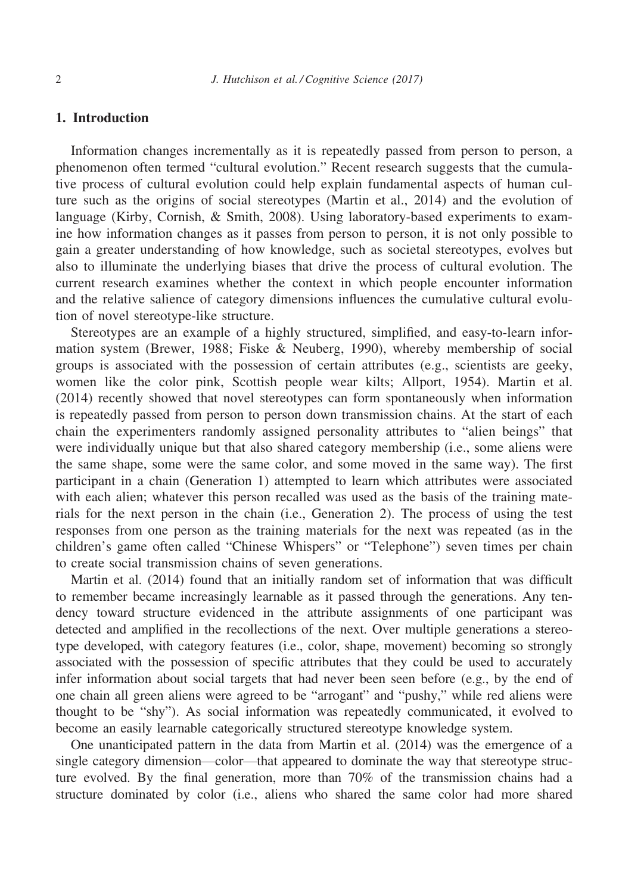# 1. Introduction

Information changes incrementally as it is repeatedly passed from person to person, a phenomenon often termed "cultural evolution." Recent research suggests that the cumulative process of cultural evolution could help explain fundamental aspects of human culture such as the origins of social stereotypes (Martin et al., 2014) and the evolution of language (Kirby, Cornish, & Smith, 2008). Using laboratory-based experiments to examine how information changes as it passes from person to person, it is not only possible to gain a greater understanding of how knowledge, such as societal stereotypes, evolves but also to illuminate the underlying biases that drive the process of cultural evolution. The current research examines whether the context in which people encounter information and the relative salience of category dimensions influences the cumulative cultural evolution of novel stereotype-like structure.

Stereotypes are an example of a highly structured, simplified, and easy-to-learn information system (Brewer, 1988; Fiske & Neuberg, 1990), whereby membership of social groups is associated with the possession of certain attributes (e.g., scientists are geeky, women like the color pink, Scottish people wear kilts; Allport, 1954). Martin et al. (2014) recently showed that novel stereotypes can form spontaneously when information is repeatedly passed from person to person down transmission chains. At the start of each chain the experimenters randomly assigned personality attributes to "alien beings" that were individually unique but that also shared category membership (i.e., some aliens were the same shape, some were the same color, and some moved in the same way). The first participant in a chain (Generation 1) attempted to learn which attributes were associated with each alien; whatever this person recalled was used as the basis of the training materials for the next person in the chain (i.e., Generation 2). The process of using the test responses from one person as the training materials for the next was repeated (as in the children's game often called "Chinese Whispers" or "Telephone") seven times per chain to create social transmission chains of seven generations.

Martin et al. (2014) found that an initially random set of information that was difficult to remember became increasingly learnable as it passed through the generations. Any tendency toward structure evidenced in the attribute assignments of one participant was detected and amplified in the recollections of the next. Over multiple generations a stereotype developed, with category features (i.e., color, shape, movement) becoming so strongly associated with the possession of specific attributes that they could be used to accurately infer information about social targets that had never been seen before (e.g., by the end of one chain all green aliens were agreed to be "arrogant" and "pushy," while red aliens were thought to be "shy"). As social information was repeatedly communicated, it evolved to become an easily learnable categorically structured stereotype knowledge system.

One unanticipated pattern in the data from Martin et al. (2014) was the emergence of a single category dimension—color—that appeared to dominate the way that stereotype structure evolved. By the final generation, more than 70% of the transmission chains had a structure dominated by color (i.e., aliens who shared the same color had more shared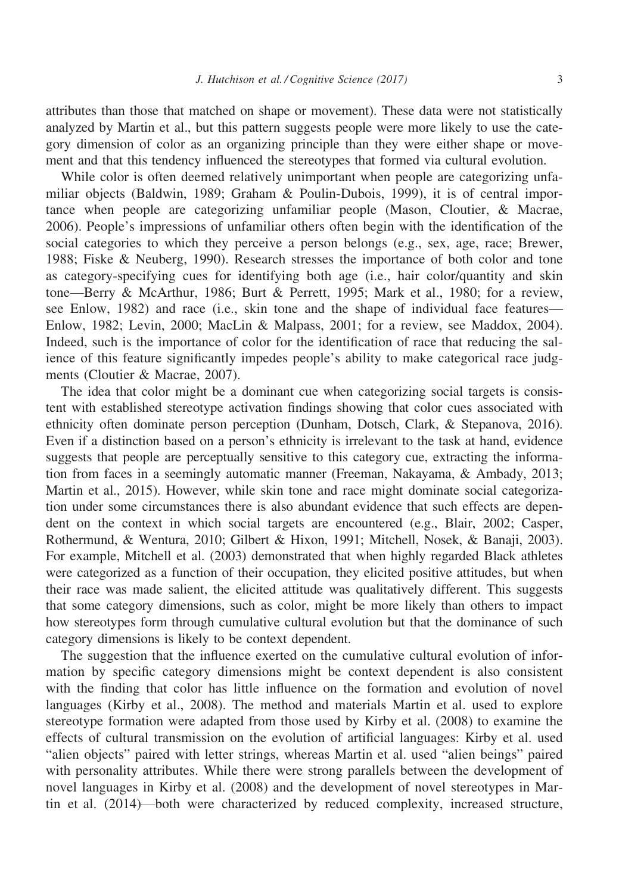attributes than those that matched on shape or movement). These data were not statistically analyzed by Martin et al., but this pattern suggests people were more likely to use the category dimension of color as an organizing principle than they were either shape or movement and that this tendency influenced the stereotypes that formed via cultural evolution.

While color is often deemed relatively unimportant when people are categorizing unfamiliar objects (Baldwin, 1989; Graham & Poulin-Dubois, 1999), it is of central importance when people are categorizing unfamiliar people (Mason, Cloutier, & Macrae, 2006). People's impressions of unfamiliar others often begin with the identification of the social categories to which they perceive a person belongs (e.g., sex, age, race; Brewer, 1988; Fiske & Neuberg, 1990). Research stresses the importance of both color and tone as category-specifying cues for identifying both age (i.e., hair color/quantity and skin tone—Berry & McArthur, 1986; Burt & Perrett, 1995; Mark et al., 1980; for a review, see Enlow, 1982) and race (i.e., skin tone and the shape of individual face features— Enlow, 1982; Levin, 2000; MacLin & Malpass, 2001; for a review, see Maddox, 2004). Indeed, such is the importance of color for the identification of race that reducing the salience of this feature significantly impedes people's ability to make categorical race judgments (Cloutier & Macrae, 2007).

The idea that color might be a dominant cue when categorizing social targets is consistent with established stereotype activation findings showing that color cues associated with ethnicity often dominate person perception (Dunham, Dotsch, Clark, & Stepanova, 2016). Even if a distinction based on a person's ethnicity is irrelevant to the task at hand, evidence suggests that people are perceptually sensitive to this category cue, extracting the information from faces in a seemingly automatic manner (Freeman, Nakayama, & Ambady, 2013; Martin et al., 2015). However, while skin tone and race might dominate social categorization under some circumstances there is also abundant evidence that such effects are dependent on the context in which social targets are encountered (e.g., Blair, 2002; Casper, Rothermund, & Wentura, 2010; Gilbert & Hixon, 1991; Mitchell, Nosek, & Banaji, 2003). For example, Mitchell et al. (2003) demonstrated that when highly regarded Black athletes were categorized as a function of their occupation, they elicited positive attitudes, but when their race was made salient, the elicited attitude was qualitatively different. This suggests that some category dimensions, such as color, might be more likely than others to impact how stereotypes form through cumulative cultural evolution but that the dominance of such category dimensions is likely to be context dependent.

The suggestion that the influence exerted on the cumulative cultural evolution of information by specific category dimensions might be context dependent is also consistent with the finding that color has little influence on the formation and evolution of novel languages (Kirby et al., 2008). The method and materials Martin et al. used to explore stereotype formation were adapted from those used by Kirby et al. (2008) to examine the effects of cultural transmission on the evolution of artificial languages: Kirby et al. used "alien objects" paired with letter strings, whereas Martin et al. used "alien beings" paired with personality attributes. While there were strong parallels between the development of novel languages in Kirby et al. (2008) and the development of novel stereotypes in Martin et al. (2014)—both were characterized by reduced complexity, increased structure,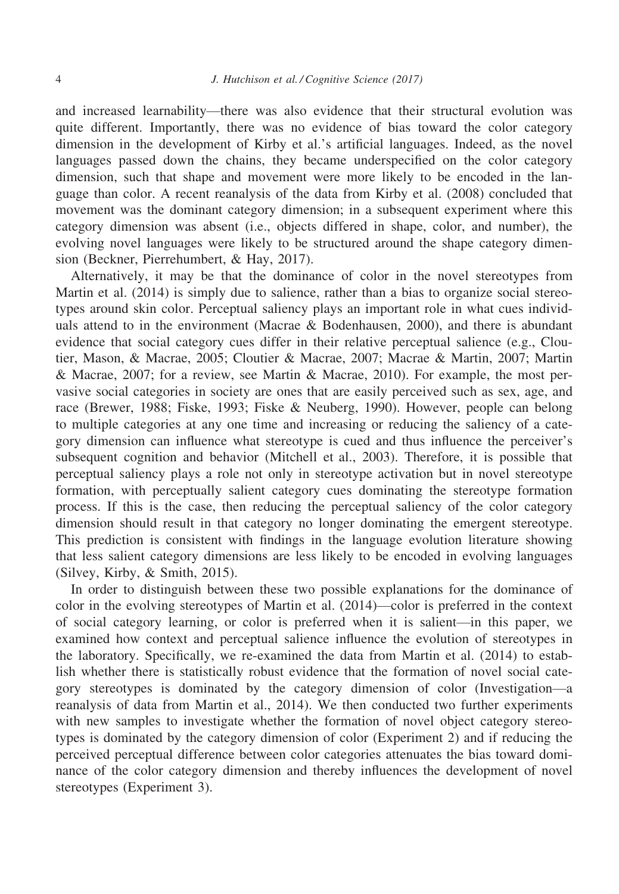and increased learnability—there was also evidence that their structural evolution was quite different. Importantly, there was no evidence of bias toward the color category dimension in the development of Kirby et al.'s artificial languages. Indeed, as the novel languages passed down the chains, they became underspecified on the color category dimension, such that shape and movement were more likely to be encoded in the language than color. A recent reanalysis of the data from Kirby et al. (2008) concluded that movement was the dominant category dimension; in a subsequent experiment where this category dimension was absent (i.e., objects differed in shape, color, and number), the evolving novel languages were likely to be structured around the shape category dimension (Beckner, Pierrehumbert, & Hay, 2017).

Alternatively, it may be that the dominance of color in the novel stereotypes from Martin et al. (2014) is simply due to salience, rather than a bias to organize social stereotypes around skin color. Perceptual saliency plays an important role in what cues individuals attend to in the environment (Macrae & Bodenhausen, 2000), and there is abundant evidence that social category cues differ in their relative perceptual salience (e.g., Cloutier, Mason, & Macrae, 2005; Cloutier & Macrae, 2007; Macrae & Martin, 2007; Martin & Macrae, 2007; for a review, see Martin & Macrae, 2010). For example, the most pervasive social categories in society are ones that are easily perceived such as sex, age, and race (Brewer, 1988; Fiske, 1993; Fiske & Neuberg, 1990). However, people can belong to multiple categories at any one time and increasing or reducing the saliency of a category dimension can influence what stereotype is cued and thus influence the perceiver's subsequent cognition and behavior (Mitchell et al., 2003). Therefore, it is possible that perceptual saliency plays a role not only in stereotype activation but in novel stereotype formation, with perceptually salient category cues dominating the stereotype formation process. If this is the case, then reducing the perceptual saliency of the color category dimension should result in that category no longer dominating the emergent stereotype. This prediction is consistent with findings in the language evolution literature showing that less salient category dimensions are less likely to be encoded in evolving languages (Silvey, Kirby, & Smith, 2015).

In order to distinguish between these two possible explanations for the dominance of color in the evolving stereotypes of Martin et al. (2014)—color is preferred in the context of social category learning, or color is preferred when it is salient—in this paper, we examined how context and perceptual salience influence the evolution of stereotypes in the laboratory. Specifically, we re-examined the data from Martin et al. (2014) to establish whether there is statistically robust evidence that the formation of novel social category stereotypes is dominated by the category dimension of color (Investigation—a reanalysis of data from Martin et al., 2014). We then conducted two further experiments with new samples to investigate whether the formation of novel object category stereotypes is dominated by the category dimension of color (Experiment 2) and if reducing the perceived perceptual difference between color categories attenuates the bias toward dominance of the color category dimension and thereby influences the development of novel stereotypes (Experiment 3).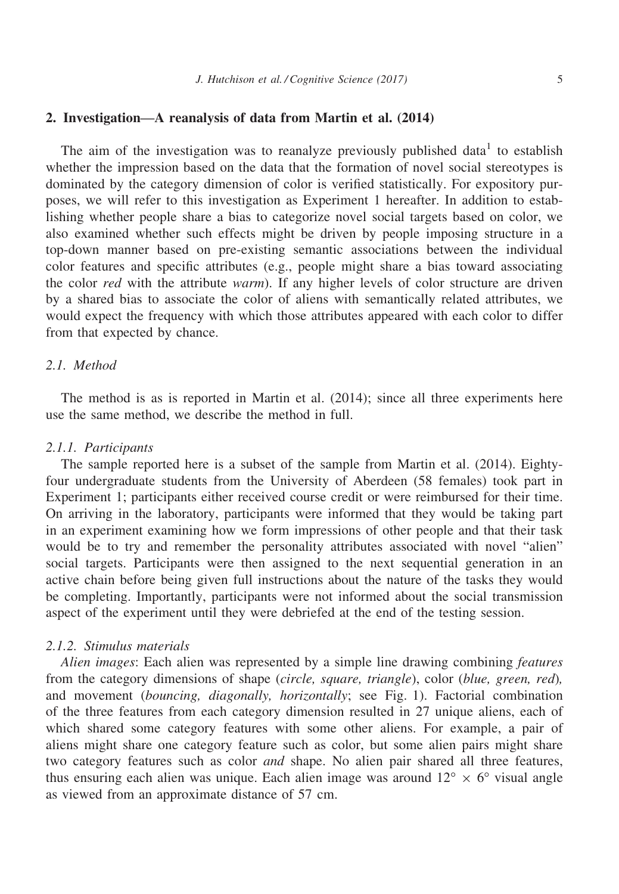# 2. Investigation—A reanalysis of data from Martin et al. (2014)

The aim of the investigation was to reanalyze previously published data<sup>1</sup> to establish whether the impression based on the data that the formation of novel social stereotypes is dominated by the category dimension of color is verified statistically. For expository purposes, we will refer to this investigation as Experiment 1 hereafter. In addition to establishing whether people share a bias to categorize novel social targets based on color, we also examined whether such effects might be driven by people imposing structure in a top-down manner based on pre-existing semantic associations between the individual color features and specific attributes (e.g., people might share a bias toward associating the color red with the attribute warm). If any higher levels of color structure are driven by a shared bias to associate the color of aliens with semantically related attributes, we would expect the frequency with which those attributes appeared with each color to differ from that expected by chance.

# 2.1. Method

The method is as is reported in Martin et al. (2014); since all three experiments here use the same method, we describe the method in full.

#### 2.1.1. Participants

The sample reported here is a subset of the sample from Martin et al. (2014). Eightyfour undergraduate students from the University of Aberdeen (58 females) took part in Experiment 1; participants either received course credit or were reimbursed for their time. On arriving in the laboratory, participants were informed that they would be taking part in an experiment examining how we form impressions of other people and that their task would be to try and remember the personality attributes associated with novel "alien" social targets. Participants were then assigned to the next sequential generation in an active chain before being given full instructions about the nature of the tasks they would be completing. Importantly, participants were not informed about the social transmission aspect of the experiment until they were debriefed at the end of the testing session.

# 2.1.2. Stimulus materials

Alien images: Each alien was represented by a simple line drawing combining *features* from the category dimensions of shape (circle, square, triangle), color (blue, green, red), and movement (bouncing, diagonally, horizontally; see Fig. 1). Factorial combination of the three features from each category dimension resulted in 27 unique aliens, each of which shared some category features with some other aliens. For example, a pair of aliens might share one category feature such as color, but some alien pairs might share two category features such as color and shape. No alien pair shared all three features, thus ensuring each alien was unique. Each alien image was around  $12^{\circ} \times 6^{\circ}$  visual angle as viewed from an approximate distance of 57 cm.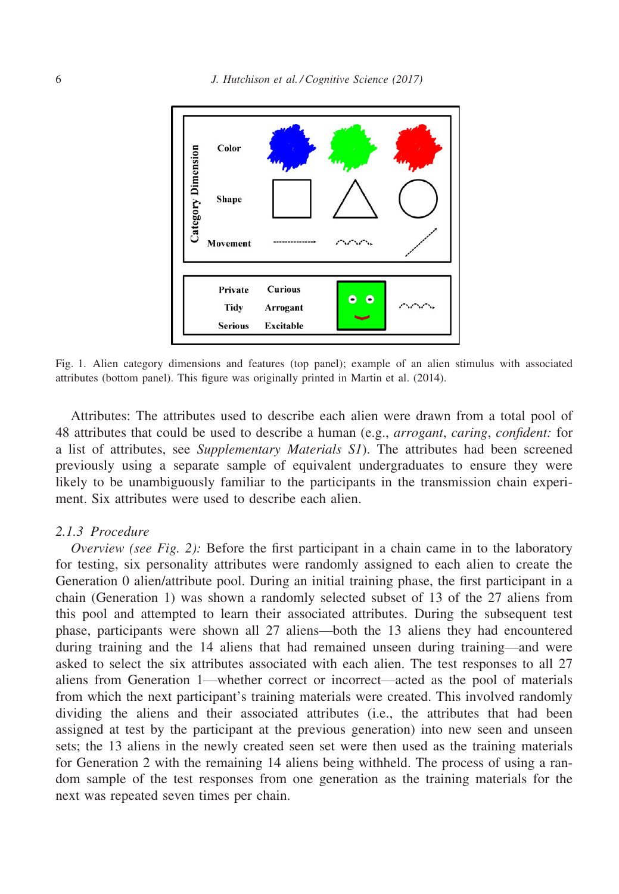

Fig. 1. Alien category dimensions and features (top panel); example of an alien stimulus with associated attributes (bottom panel). This figure was originally printed in Martin et al. (2014).

Attributes: The attributes used to describe each alien were drawn from a total pool of 48 attributes that could be used to describe a human (e.g., arrogant, caring, confident: for a list of attributes, see Supplementary Materials S1). The attributes had been screened previously using a separate sample of equivalent undergraduates to ensure they were likely to be unambiguously familiar to the participants in the transmission chain experiment. Six attributes were used to describe each alien.

# 2.1.3 Procedure

Overview (see Fig. 2): Before the first participant in a chain came in to the laboratory for testing, six personality attributes were randomly assigned to each alien to create the Generation 0 alien/attribute pool. During an initial training phase, the first participant in a chain (Generation 1) was shown a randomly selected subset of 13 of the 27 aliens from this pool and attempted to learn their associated attributes. During the subsequent test phase, participants were shown all 27 aliens—both the 13 aliens they had encountered during training and the 14 aliens that had remained unseen during training—and were asked to select the six attributes associated with each alien. The test responses to all 27 aliens from Generation 1—whether correct or incorrect—acted as the pool of materials from which the next participant's training materials were created. This involved randomly dividing the aliens and their associated attributes (i.e., the attributes that had been assigned at test by the participant at the previous generation) into new seen and unseen sets; the 13 aliens in the newly created seen set were then used as the training materials for Generation 2 with the remaining 14 aliens being withheld. The process of using a random sample of the test responses from one generation as the training materials for the next was repeated seven times per chain.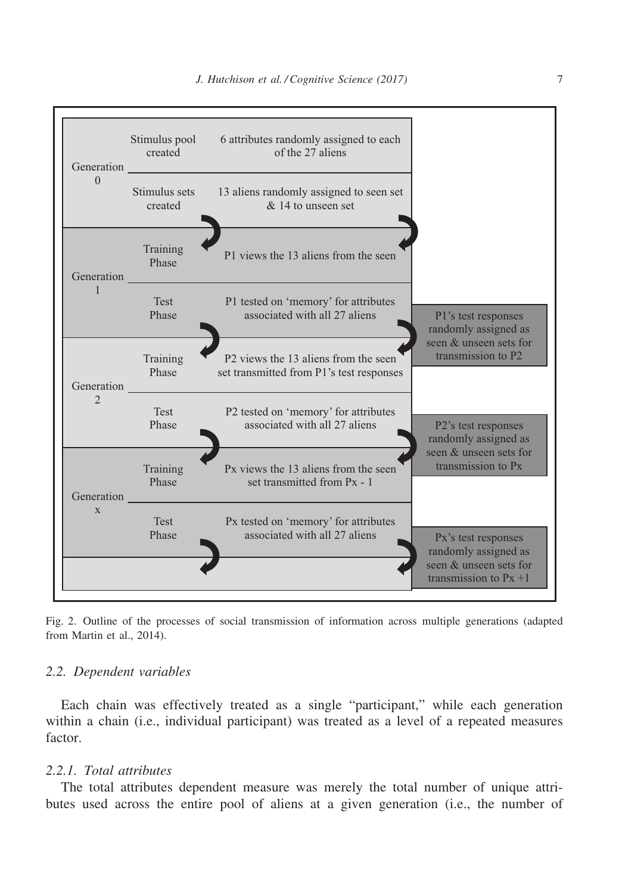

Fig. 2. Outline of the processes of social transmission of information across multiple generations (adapted from Martin et al., 2014).

#### 2.2. Dependent variables

Each chain was effectively treated as a single "participant," while each generation within a chain (i.e., individual participant) was treated as a level of a repeated measures factor.

# 2.2.1. Total attributes

The total attributes dependent measure was merely the total number of unique attributes used across the entire pool of aliens at a given generation (i.e., the number of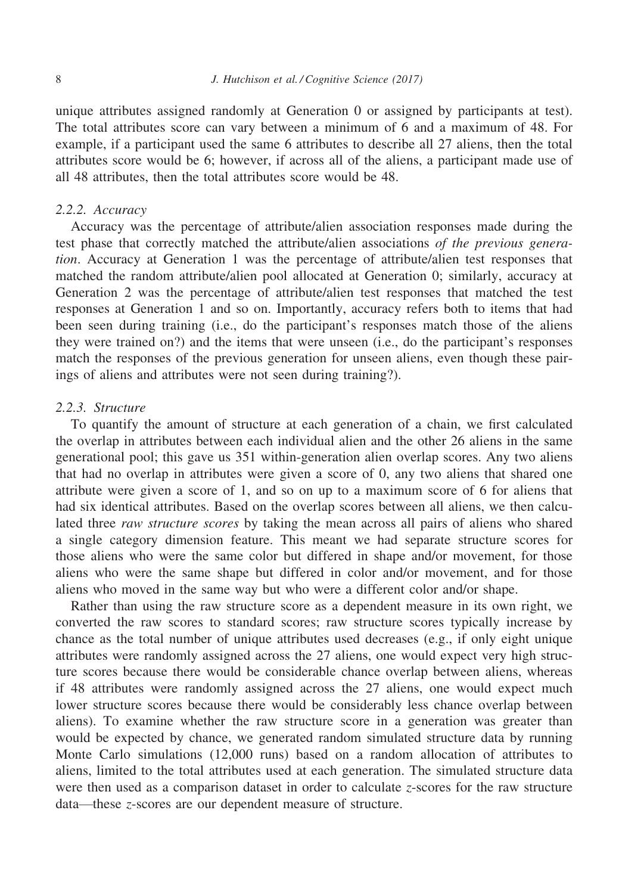unique attributes assigned randomly at Generation 0 or assigned by participants at test). The total attributes score can vary between a minimum of 6 and a maximum of 48. For example, if a participant used the same 6 attributes to describe all 27 aliens, then the total attributes score would be 6; however, if across all of the aliens, a participant made use of all 48 attributes, then the total attributes score would be 48.

#### 2.2.2. Accuracy

Accuracy was the percentage of attribute/alien association responses made during the test phase that correctly matched the attribute/alien associations of the previous generation. Accuracy at Generation 1 was the percentage of attribute/alien test responses that matched the random attribute/alien pool allocated at Generation 0; similarly, accuracy at Generation 2 was the percentage of attribute/alien test responses that matched the test responses at Generation 1 and so on. Importantly, accuracy refers both to items that had been seen during training (i.e., do the participant's responses match those of the aliens they were trained on?) and the items that were unseen (i.e., do the participant's responses match the responses of the previous generation for unseen aliens, even though these pairings of aliens and attributes were not seen during training?).

# 2.2.3. Structure

To quantify the amount of structure at each generation of a chain, we first calculated the overlap in attributes between each individual alien and the other 26 aliens in the same generational pool; this gave us 351 within-generation alien overlap scores. Any two aliens that had no overlap in attributes were given a score of 0, any two aliens that shared one attribute were given a score of 1, and so on up to a maximum score of 6 for aliens that had six identical attributes. Based on the overlap scores between all aliens, we then calculated three raw structure scores by taking the mean across all pairs of aliens who shared a single category dimension feature. This meant we had separate structure scores for those aliens who were the same color but differed in shape and/or movement, for those aliens who were the same shape but differed in color and/or movement, and for those aliens who moved in the same way but who were a different color and/or shape.

Rather than using the raw structure score as a dependent measure in its own right, we converted the raw scores to standard scores; raw structure scores typically increase by chance as the total number of unique attributes used decreases (e.g., if only eight unique attributes were randomly assigned across the 27 aliens, one would expect very high structure scores because there would be considerable chance overlap between aliens, whereas if 48 attributes were randomly assigned across the 27 aliens, one would expect much lower structure scores because there would be considerably less chance overlap between aliens). To examine whether the raw structure score in a generation was greater than would be expected by chance, we generated random simulated structure data by running Monte Carlo simulations (12,000 runs) based on a random allocation of attributes to aliens, limited to the total attributes used at each generation. The simulated structure data were then used as a comparison dataset in order to calculate z-scores for the raw structure data—these z-scores are our dependent measure of structure.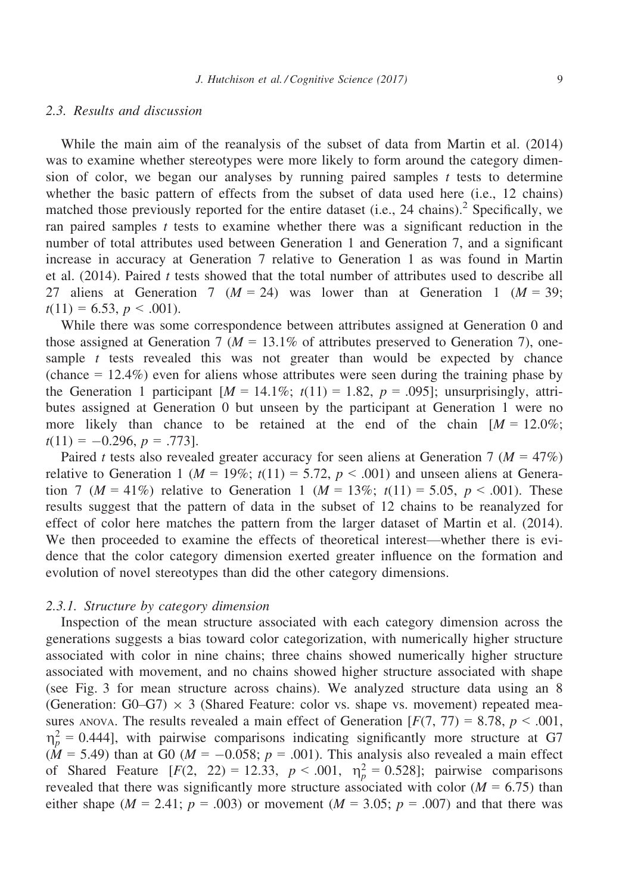# 2.3. Results and discussion

While the main aim of the reanalysis of the subset of data from Martin et al. (2014) was to examine whether stereotypes were more likely to form around the category dimension of color, we began our analyses by running paired samples  $t$  tests to determine whether the basic pattern of effects from the subset of data used here (i.e., 12 chains) matched those previously reported for the entire dataset (i.e., 24 chains).<sup>2</sup> Specifically, we ran paired samples  $t$  tests to examine whether there was a significant reduction in the number of total attributes used between Generation 1 and Generation 7, and a significant increase in accuracy at Generation 7 relative to Generation 1 as was found in Martin et al. (2014). Paired t tests showed that the total number of attributes used to describe all 27 aliens at Generation 7 ( $M = 24$ ) was lower than at Generation 1 ( $M = 39$ ;  $t(11) = 6.53, p < .001$ .

While there was some correspondence between attributes assigned at Generation 0 and those assigned at Generation 7 ( $M = 13.1\%$  of attributes preserved to Generation 7), onesample  $t$  tests revealed this was not greater than would be expected by chance (chance  $= 12.4\%$ ) even for aliens whose attributes were seen during the training phase by the Generation 1 participant  $[M = 14.1\%; t(11) = 1.82, p = .095]$ ; unsurprisingly, attributes assigned at Generation 0 but unseen by the participant at Generation 1 were no more likely than chance to be retained at the end of the chain  $[M = 12.0\%;$  $t(11) = -0.296, p = .773$ .

Paired t tests also revealed greater accuracy for seen aliens at Generation 7 ( $M = 47\%$ ) relative to Generation 1 ( $M = 19\%$ ;  $t(11) = 5.72$ ,  $p < .001$ ) and unseen aliens at Generation 7 ( $M = 41\%$ ) relative to Generation 1 ( $M = 13\%$ ;  $t(11) = 5.05$ ,  $p < .001$ ). These results suggest that the pattern of data in the subset of 12 chains to be reanalyzed for effect of color here matches the pattern from the larger dataset of Martin et al. (2014). We then proceeded to examine the effects of theoretical interest—whether there is evidence that the color category dimension exerted greater influence on the formation and evolution of novel stereotypes than did the other category dimensions.

#### 2.3.1. Structure by category dimension

Inspection of the mean structure associated with each category dimension across the generations suggests a bias toward color categorization, with numerically higher structure associated with color in nine chains; three chains showed numerically higher structure associated with movement, and no chains showed higher structure associated with shape (see Fig. 3 for mean structure across chains). We analyzed structure data using an 8 (Generation:  $G0-G7$ )  $\times$  3 (Shared Feature: color vs. shape vs. movement) repeated measures ANOVA. The results revealed a main effect of Generation  $[F(7, 77) = 8.78, p < .001,$  $\eta_p^2 = 0.444$ , with pairwise comparisons indicating significantly more structure at G7<br>( $M = 5.49$ ) than at G0 ( $M = -0.058$ ;  $p = 0.01$ ). This analysis also revealed a main effect  $(M = 5.49)$  than at G0 ( $M = -0.058$ ;  $p = .001$ ). This analysis also revealed a main effect of Shared Feature  $[F(2, 22) = 12.33, p < .001, \eta_p^2 = 0.528]$ ; pairwise comparisons revealed that there was significantly more structure associated with color  $(M = 6.75)$  than revealed that there was significantly more structure associated with color ( $M = 6.75$ ) than either shape (*M* = 2.41; *p* = .003) or movement (*M* = 3.05; *p* = .007) and that there was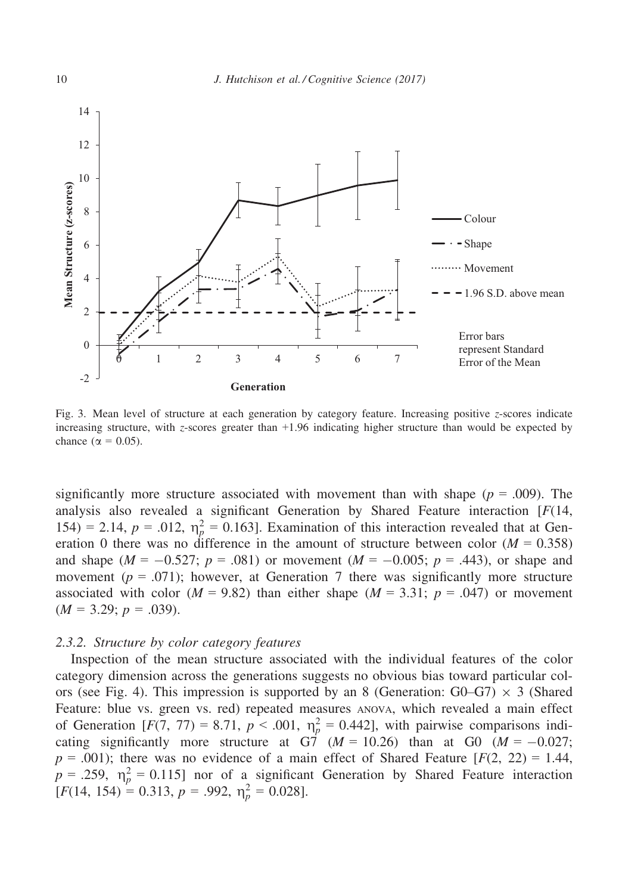

Fig. 3. Mean level of structure at each generation by category feature. Increasing positive z-scores indicate increasing structure, with z-scores greater than +1.96 indicating higher structure than would be expected by chance ( $\alpha = 0.05$ ).

significantly more structure associated with movement than with shape ( $p = .009$ ). The analysis also revealed a significant Generation by Shared Feature interaction  $[F(14,$ 154) = 2.14,  $p = .012$ ,  $\eta_p^2 = 0.163$ . Examination of this interaction revealed that at Generation 0 there was no difference in the amount of structure between color ( $M = 0.358$ ) eration 0 there was no difference in the amount of structure between color  $(M = 0.358)$ and shape ( $M = -0.527$ ;  $p = .081$ ) or movement ( $M = -0.005$ ;  $p = .443$ ), or shape and movement ( $p = .071$ ); however, at Generation 7 there was significantly more structure associated with color ( $M = 9.82$ ) than either shape ( $M = 3.31$ ;  $p = .047$ ) or movement  $(M = 3.29; p = .039)$ .

#### 2.3.2. Structure by color category features

Inspection of the mean structure associated with the individual features of the color category dimension across the generations suggests no obvious bias toward particular colors (see Fig. 4). This impression is supported by an 8 (Generation:  $G0-G7 \times 3$  (Shared Feature: blue vs. green vs. red) repeated measures ANOVA, which revealed a main effect of Generation  $[F(7, 77) = 8.71, p < .001, \eta_p^2 = 0.442]$ , with pairwise comparisons indicating significantly more structure at  $G_7^7$  ( $M = 10.26$ ) than at  $G_8^7$  ( $M = -0.027$ ) cating significantly more structure at  $G_7^{\gamma}$  ( $M = 10.26$ ) than at G0 ( $M = -0.027$ ;  $p = .001$ ); there was no evidence of a main effect of Shared Feature [ $F(2, 22) = 1.44$ ,  $p = .259$ ,  $\eta_p^2 = 0.115$ ] nor of a significant Generation by Shared Feature interaction<br> $[E(14, 154) = 0.313$   $p = .992$   $p^2 = 0.0281$  $[F(14, 154) = 0.313, p = .992, \eta_p^2 = 0.028].$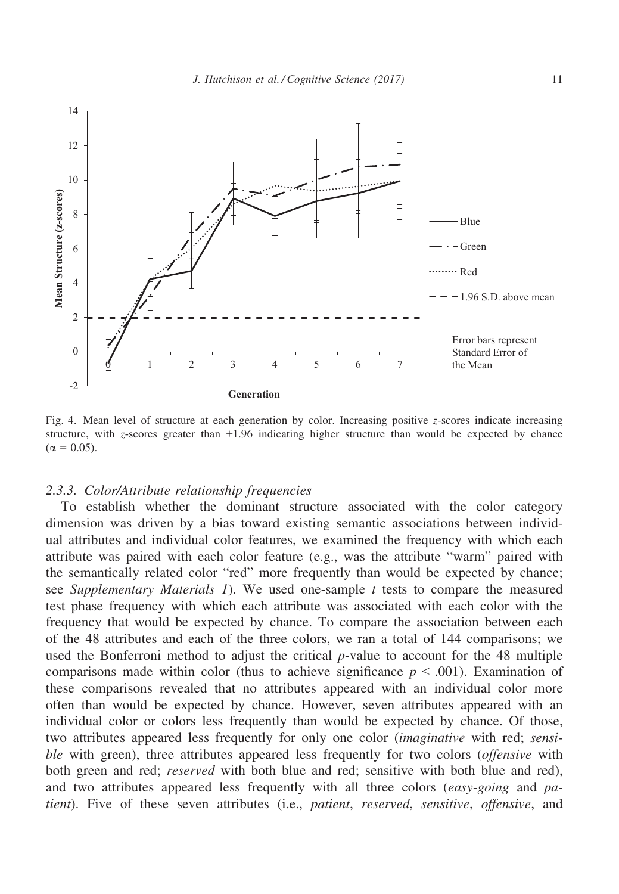

Fig. 4. Mean level of structure at each generation by color. Increasing positive z-scores indicate increasing structure, with z-scores greater than +1.96 indicating higher structure than would be expected by chance  $(\alpha = 0.05)$ .

### 2.3.3. Color/Attribute relationship frequencies

To establish whether the dominant structure associated with the color category dimension was driven by a bias toward existing semantic associations between individual attributes and individual color features, we examined the frequency with which each attribute was paired with each color feature (e.g., was the attribute "warm" paired with the semantically related color "red" more frequently than would be expected by chance; see Supplementary Materials 1). We used one-sample  $t$  tests to compare the measured test phase frequency with which each attribute was associated with each color with the frequency that would be expected by chance. To compare the association between each of the 48 attributes and each of the three colors, we ran a total of 144 comparisons; we used the Bonferroni method to adjust the critical  $p$ -value to account for the 48 multiple comparisons made within color (thus to achieve significance  $p \le 0.001$ ). Examination of these comparisons revealed that no attributes appeared with an individual color more often than would be expected by chance. However, seven attributes appeared with an individual color or colors less frequently than would be expected by chance. Of those, two attributes appeared less frequently for only one color (imaginative with red; sensible with green), three attributes appeared less frequently for two colors (*offensive* with both green and red; *reserved* with both blue and red; sensitive with both blue and red), and two attributes appeared less frequently with all three colors (easy-going and patient). Five of these seven attributes (i.e., patient, reserved, sensitive, offensive, and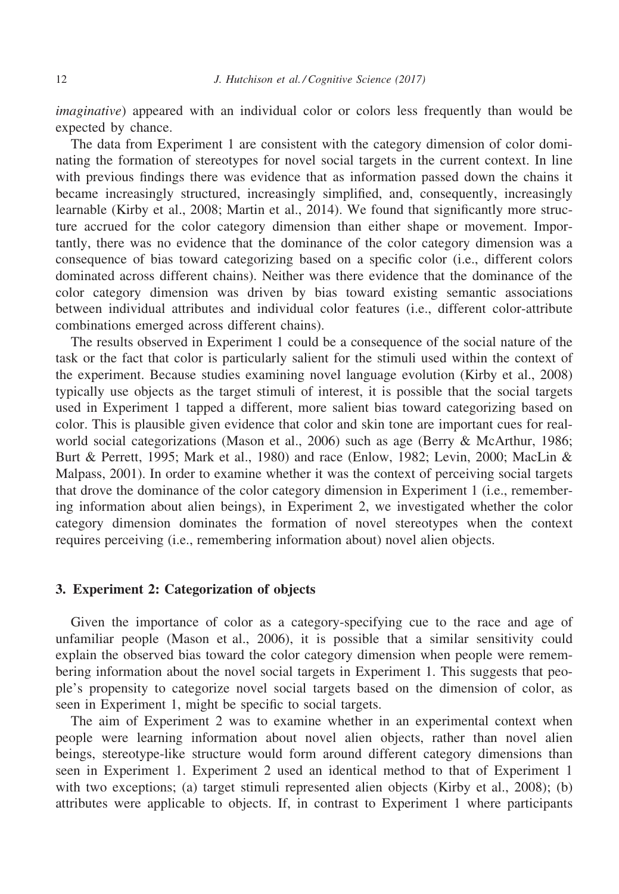imaginative) appeared with an individual color or colors less frequently than would be expected by chance.

The data from Experiment 1 are consistent with the category dimension of color dominating the formation of stereotypes for novel social targets in the current context. In line with previous findings there was evidence that as information passed down the chains it became increasingly structured, increasingly simplified, and, consequently, increasingly learnable (Kirby et al., 2008; Martin et al., 2014). We found that significantly more structure accrued for the color category dimension than either shape or movement. Importantly, there was no evidence that the dominance of the color category dimension was a consequence of bias toward categorizing based on a specific color (i.e., different colors dominated across different chains). Neither was there evidence that the dominance of the color category dimension was driven by bias toward existing semantic associations between individual attributes and individual color features (i.e., different color-attribute combinations emerged across different chains).

The results observed in Experiment 1 could be a consequence of the social nature of the task or the fact that color is particularly salient for the stimuli used within the context of the experiment. Because studies examining novel language evolution (Kirby et al., 2008) typically use objects as the target stimuli of interest, it is possible that the social targets used in Experiment 1 tapped a different, more salient bias toward categorizing based on color. This is plausible given evidence that color and skin tone are important cues for realworld social categorizations (Mason et al., 2006) such as age (Berry & McArthur, 1986; Burt & Perrett, 1995; Mark et al., 1980) and race (Enlow, 1982; Levin, 2000; MacLin & Malpass, 2001). In order to examine whether it was the context of perceiving social targets that drove the dominance of the color category dimension in Experiment 1 (i.e., remembering information about alien beings), in Experiment 2, we investigated whether the color category dimension dominates the formation of novel stereotypes when the context requires perceiving (i.e., remembering information about) novel alien objects.

## 3. Experiment 2: Categorization of objects

Given the importance of color as a category-specifying cue to the race and age of unfamiliar people (Mason et al., 2006), it is possible that a similar sensitivity could explain the observed bias toward the color category dimension when people were remembering information about the novel social targets in Experiment 1. This suggests that people's propensity to categorize novel social targets based on the dimension of color, as seen in Experiment 1, might be specific to social targets.

The aim of Experiment 2 was to examine whether in an experimental context when people were learning information about novel alien objects, rather than novel alien beings, stereotype-like structure would form around different category dimensions than seen in Experiment 1. Experiment 2 used an identical method to that of Experiment 1 with two exceptions; (a) target stimuli represented alien objects (Kirby et al., 2008); (b) attributes were applicable to objects. If, in contrast to Experiment 1 where participants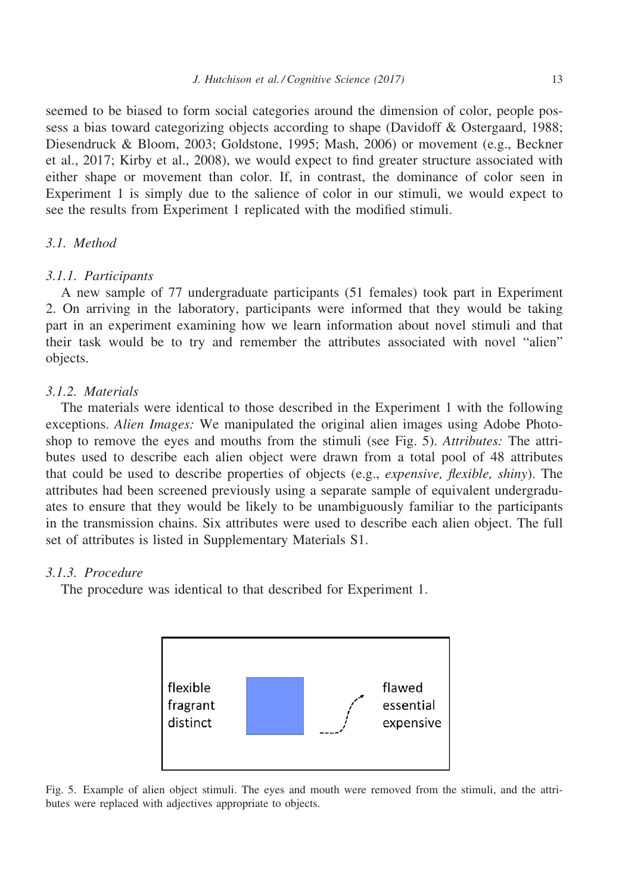seemed to be biased to form social categories around the dimension of color, people possess a bias toward categorizing objects according to shape (Davidoff & Ostergaard, 1988; Diesendruck & Bloom, 2003; Goldstone, 1995; Mash, 2006) or movement (e.g., Beckner et al., 2017; Kirby et al., 2008), we would expect to find greater structure associated with either shape or movement than color. If, in contrast, the dominance of color seen in Experiment 1 is simply due to the salience of color in our stimuli, we would expect to see the results from Experiment 1 replicated with the modified stimuli.

# 3.1. Method

# 3.1.1. Participants

A new sample of 77 undergraduate participants (51 females) took part in Experiment 2. On arriving in the laboratory, participants were informed that they would be taking part in an experiment examining how we learn information about novel stimuli and that their task would be to try and remember the attributes associated with novel "alien" objects.

# 3.1.2. Materials

The materials were identical to those described in the Experiment 1 with the following exceptions. Alien Images: We manipulated the original alien images using Adobe Photoshop to remove the eyes and mouths from the stimuli (see Fig. 5). Attributes: The attributes used to describe each alien object were drawn from a total pool of 48 attributes that could be used to describe properties of objects (e.g., expensive, flexible, shiny). The attributes had been screened previously using a separate sample of equivalent undergraduates to ensure that they would be likely to be unambiguously familiar to the participants in the transmission chains. Six attributes were used to describe each alien object. The full set of attributes is listed in Supplementary Materials S1.

# 3.1.3. Procedure

The procedure was identical to that described for Experiment 1.



Fig. 5. Example of alien object stimuli. The eyes and mouth were removed from the stimuli, and the attributes were replaced with adjectives appropriate to objects.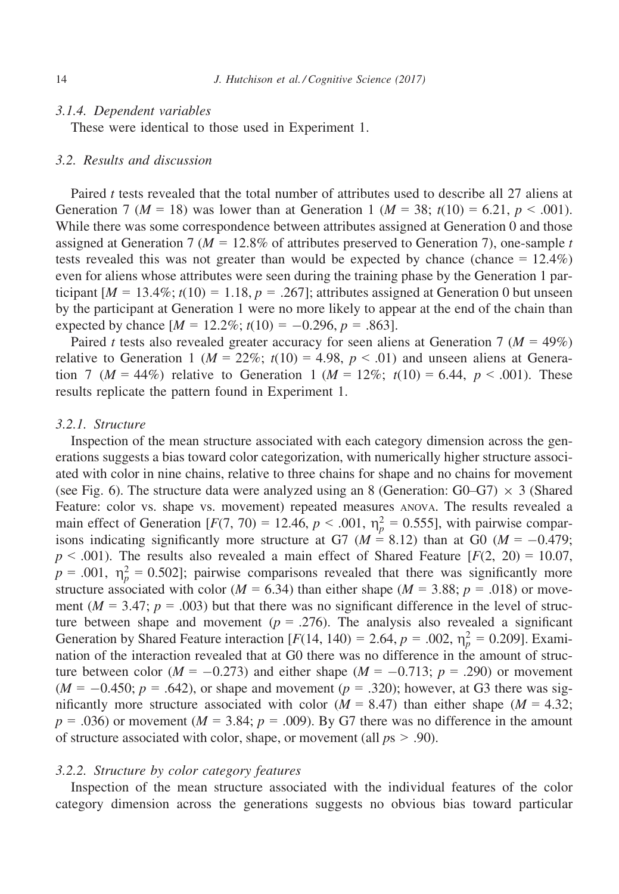#### 3.1.4. Dependent variables

These were identical to those used in Experiment 1.

#### 3.2. Results and discussion

Paired  $t$  tests revealed that the total number of attributes used to describe all 27 aliens at Generation 7 ( $M = 18$ ) was lower than at Generation 1 ( $M = 38$ ;  $t(10) = 6.21$ ,  $p < .001$ ). While there was some correspondence between attributes assigned at Generation 0 and those assigned at Generation 7 ( $M = 12.8\%$  of attributes preserved to Generation 7), one-sample t tests revealed this was not greater than would be expected by chance (chance  $= 12.4\%$ ) even for aliens whose attributes were seen during the training phase by the Generation 1 participant  $[M = 13.4\%; t(10) = 1.18, p = .267]$ ; attributes assigned at Generation 0 but unseen by the participant at Generation 1 were no more likely to appear at the end of the chain than expected by chance  $[M = 12.2\%; t(10) = -0.296, p = .863]$ .

Paired t tests also revealed greater accuracy for seen aliens at Generation 7 ( $M = 49\%$ ) relative to Generation 1 ( $M = 22\%$ ;  $t(10) = 4.98$ ,  $p < .01$ ) and unseen aliens at Generation 7 ( $M = 44\%$ ) relative to Generation 1 ( $M = 12\%$ ;  $t(10) = 6.44$ ,  $p < .001$ ). These results replicate the pattern found in Experiment 1.

#### 3.2.1. Structure

Inspection of the mean structure associated with each category dimension across the generations suggests a bias toward color categorization, with numerically higher structure associated with color in nine chains, relative to three chains for shape and no chains for movement (see Fig. 6). The structure data were analyzed using an 8 (Generation:  $G0-G7$ )  $\times$  3 (Shared Feature: color vs. shape vs. movement) repeated measures ANOVA. The results revealed a main effect of Generation  $[F(7, 70) = 12.46, p < .001, \eta_p^2 = 0.555]$ , with pairwise comparisons indicating significantly more structure at G7  $(M = 8.12)$  than at G0  $(M = -0.479)$ . isons indicating significantly more structure at G7 ( $M = 8.12$ ) than at G0 ( $M = -0.479$ ;  $p \leq 0.001$ ). The results also revealed a main effect of Shared Feature [F(2, 20) = 10.07,  $p = .001$ ,  $\eta_p^2 = 0.502$ ; pairwise comparisons revealed that there was significantly more<br>structure associated with color ( $M = 6.34$ ) than either shape ( $M = 3.88$ ;  $p = .018$ ) or movestructure associated with color ( $M = 6.34$ ) than either shape ( $M = 3.88$ ;  $p = .018$ ) or movement ( $M = 3.47$ ;  $p = .003$ ) but that there was no significant difference in the level of structure between shape and movement ( $p = .276$ ). The analysis also revealed a significant Generation by Shared Feature interaction  $[F(14, 140) = 2.64, p = .002, \eta_p^2 = 0.209]$ . Examination of the interaction revealed that at G0 there was no difference in the amount of strucnation of the interaction revealed that at G0 there was no difference in the amount of structure between color ( $M = -0.273$ ) and either shape ( $M = -0.713$ ;  $p = .290$ ) or movement  $(M = -0.450; p = .642)$ , or shape and movement  $(p = .320)$ ; however, at G3 there was significantly more structure associated with color  $(M = 8.47)$  than either shape  $(M = 4.32)$ ;  $p = .036$ ) or movement ( $M = 3.84$ ;  $p = .009$ ). By G7 there was no difference in the amount of structure associated with color, shape, or movement (all  $ps > .90$ ).

#### 3.2.2. Structure by color category features

Inspection of the mean structure associated with the individual features of the color category dimension across the generations suggests no obvious bias toward particular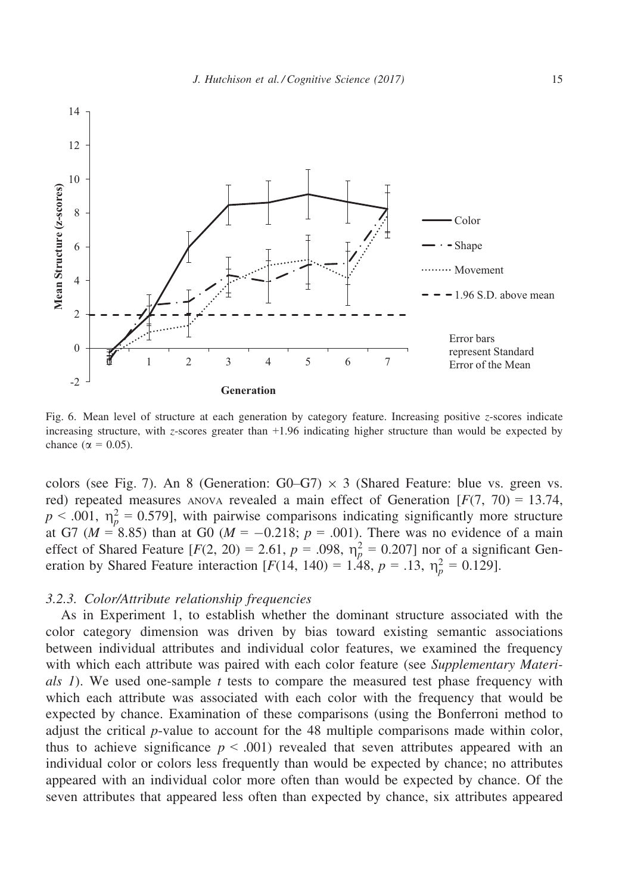

Fig. 6. Mean level of structure at each generation by category feature. Increasing positive z-scores indicate increasing structure, with z-scores greater than +1.96 indicating higher structure than would be expected by chance ( $\alpha = 0.05$ ).

colors (see Fig. 7). An 8 (Generation:  $G0-G7$ )  $\times$  3 (Shared Feature: blue vs. green vs. red) repeated measures ANOVA revealed a main effect of Generation  $[F(7, 70) = 13.74$ ,  $p < .001$ ,  $\eta_p^2 = 0.579$ , with pairwise comparisons indicating significantly more structure<br>at G7 ( $M = 8.85$ ) than at G0 ( $M = -0.218$ ;  $p = .001$ ). There was no evidence of a main at G7 ( $M = 8.85$ ) than at G0 ( $M = -0.218$ ;  $p = .001$ ). There was no evidence of a main effect of Shared Feature  $[F(2, 20) = 2.61, p = .098, \eta_p^2 = 0.207]$  nor of a significant Generation by Shared Feature interaction  $[F(14, 140) = 1.48, p = .13, p^2 = 0.129]$ eration by Shared Feature interaction  $[F(14, 140) = 1.48, p = .13, \eta_p^2 = 0.129]$ .

# 3.2.3. Color/Attribute relationship frequencies

As in Experiment 1, to establish whether the dominant structure associated with the color category dimension was driven by bias toward existing semantic associations between individual attributes and individual color features, we examined the frequency with which each attribute was paired with each color feature (see Supplementary Materials 1). We used one-sample t tests to compare the measured test phase frequency with which each attribute was associated with each color with the frequency that would be expected by chance. Examination of these comparisons (using the Bonferroni method to adjust the critical p-value to account for the 48 multiple comparisons made within color, thus to achieve significance  $p \leq .001$ ) revealed that seven attributes appeared with an individual color or colors less frequently than would be expected by chance; no attributes appeared with an individual color more often than would be expected by chance. Of the seven attributes that appeared less often than expected by chance, six attributes appeared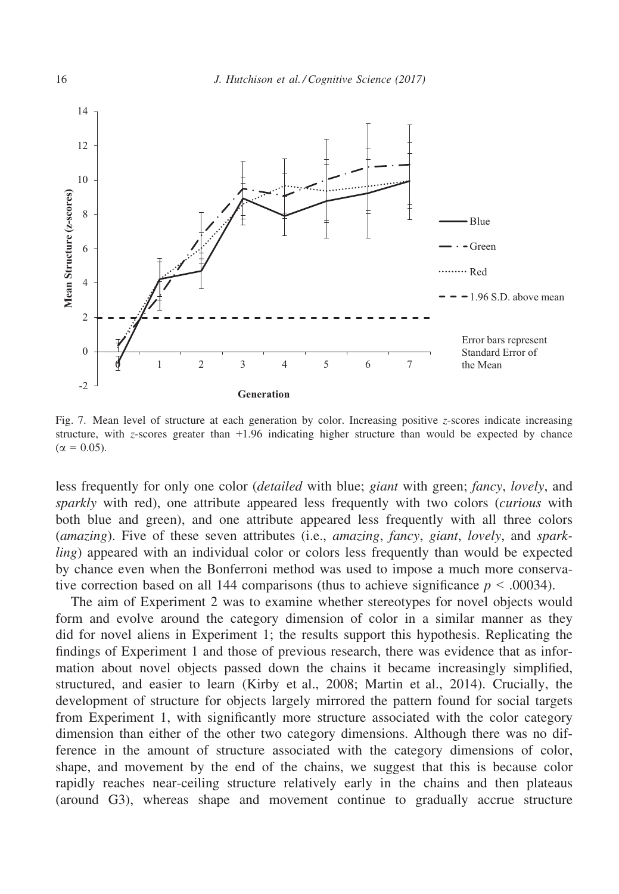

Fig. 7. Mean level of structure at each generation by color. Increasing positive z-scores indicate increasing structure, with z-scores greater than +1.96 indicating higher structure than would be expected by chance  $(\alpha = 0.05)$ .

less frequently for only one color *(detailed* with blue; *giant* with green; *fancy*, *lovely*, and sparkly with red), one attribute appeared less frequently with two colors *(curious with*) both blue and green), and one attribute appeared less frequently with all three colors (amazing). Five of these seven attributes (i.e., amazing, fancy, giant, lovely, and sparkling) appeared with an individual color or colors less frequently than would be expected by chance even when the Bonferroni method was used to impose a much more conservative correction based on all 144 comparisons (thus to achieve significance  $p < .00034$ ).

The aim of Experiment 2 was to examine whether stereotypes for novel objects would form and evolve around the category dimension of color in a similar manner as they did for novel aliens in Experiment 1; the results support this hypothesis. Replicating the findings of Experiment 1 and those of previous research, there was evidence that as information about novel objects passed down the chains it became increasingly simplified, structured, and easier to learn (Kirby et al., 2008; Martin et al., 2014). Crucially, the development of structure for objects largely mirrored the pattern found for social targets from Experiment 1, with significantly more structure associated with the color category dimension than either of the other two category dimensions. Although there was no difference in the amount of structure associated with the category dimensions of color, shape, and movement by the end of the chains, we suggest that this is because color rapidly reaches near-ceiling structure relatively early in the chains and then plateaus (around G3), whereas shape and movement continue to gradually accrue structure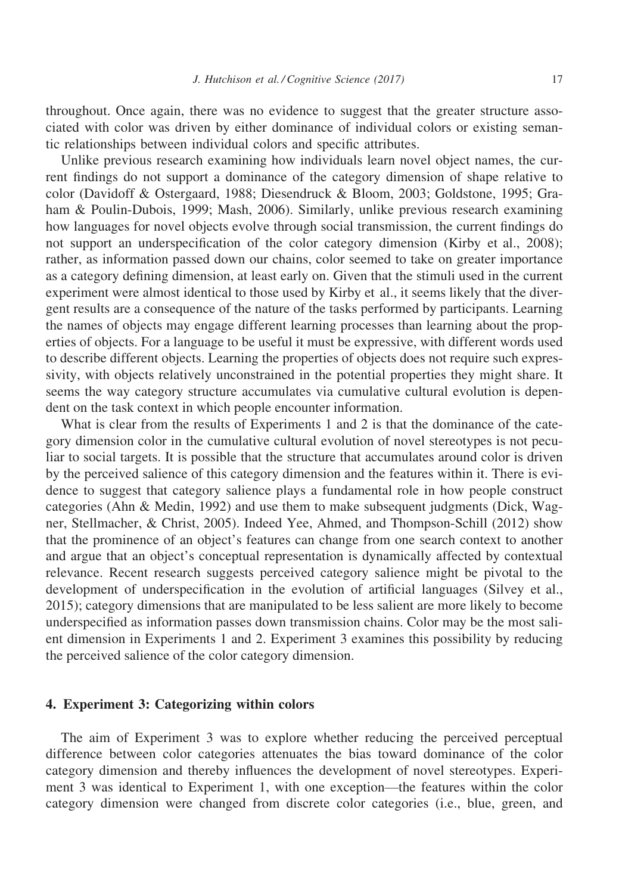throughout. Once again, there was no evidence to suggest that the greater structure associated with color was driven by either dominance of individual colors or existing semantic relationships between individual colors and specific attributes.

Unlike previous research examining how individuals learn novel object names, the current findings do not support a dominance of the category dimension of shape relative to color (Davidoff & Ostergaard, 1988; Diesendruck & Bloom, 2003; Goldstone, 1995; Graham & Poulin-Dubois, 1999; Mash, 2006). Similarly, unlike previous research examining how languages for novel objects evolve through social transmission, the current findings do not support an underspecification of the color category dimension (Kirby et al., 2008); rather, as information passed down our chains, color seemed to take on greater importance as a category defining dimension, at least early on. Given that the stimuli used in the current experiment were almost identical to those used by Kirby et al., it seems likely that the divergent results are a consequence of the nature of the tasks performed by participants. Learning the names of objects may engage different learning processes than learning about the properties of objects. For a language to be useful it must be expressive, with different words used to describe different objects. Learning the properties of objects does not require such expressivity, with objects relatively unconstrained in the potential properties they might share. It seems the way category structure accumulates via cumulative cultural evolution is dependent on the task context in which people encounter information.

What is clear from the results of Experiments 1 and 2 is that the dominance of the category dimension color in the cumulative cultural evolution of novel stereotypes is not peculiar to social targets. It is possible that the structure that accumulates around color is driven by the perceived salience of this category dimension and the features within it. There is evidence to suggest that category salience plays a fundamental role in how people construct categories (Ahn & Medin, 1992) and use them to make subsequent judgments (Dick, Wagner, Stellmacher, & Christ, 2005). Indeed Yee, Ahmed, and Thompson-Schill (2012) show that the prominence of an object's features can change from one search context to another and argue that an object's conceptual representation is dynamically affected by contextual relevance. Recent research suggests perceived category salience might be pivotal to the development of underspecification in the evolution of artificial languages (Silvey et al., 2015); category dimensions that are manipulated to be less salient are more likely to become underspecified as information passes down transmission chains. Color may be the most salient dimension in Experiments 1 and 2. Experiment 3 examines this possibility by reducing the perceived salience of the color category dimension.

# 4. Experiment 3: Categorizing within colors

The aim of Experiment 3 was to explore whether reducing the perceived perceptual difference between color categories attenuates the bias toward dominance of the color category dimension and thereby influences the development of novel stereotypes. Experiment 3 was identical to Experiment 1, with one exception—the features within the color category dimension were changed from discrete color categories (i.e., blue, green, and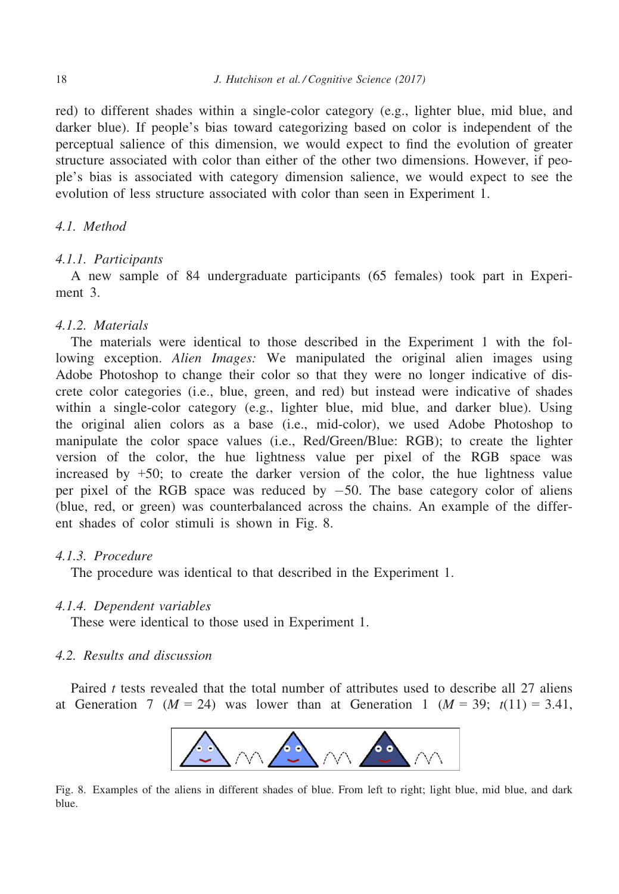red) to different shades within a single-color category (e.g., lighter blue, mid blue, and darker blue). If people's bias toward categorizing based on color is independent of the perceptual salience of this dimension, we would expect to find the evolution of greater structure associated with color than either of the other two dimensions. However, if people's bias is associated with category dimension salience, we would expect to see the evolution of less structure associated with color than seen in Experiment 1.

# 4.1. Method

## 4.1.1. Participants

A new sample of 84 undergraduate participants (65 females) took part in Experiment 3.

# 4.1.2. Materials

The materials were identical to those described in the Experiment 1 with the following exception. Alien Images: We manipulated the original alien images using Adobe Photoshop to change their color so that they were no longer indicative of discrete color categories (i.e., blue, green, and red) but instead were indicative of shades within a single-color category (e.g., lighter blue, mid blue, and darker blue). Using the original alien colors as a base (i.e., mid-color), we used Adobe Photoshop to manipulate the color space values (i.e., Red/Green/Blue: RGB); to create the lighter version of the color, the hue lightness value per pixel of the RGB space was increased by +50; to create the darker version of the color, the hue lightness value per pixel of the RGB space was reduced by  $-50$ . The base category color of aliens (blue, red, or green) was counterbalanced across the chains. An example of the different shades of color stimuli is shown in Fig. 8.

# 4.1.3. Procedure

The procedure was identical to that described in the Experiment 1.

# 4.1.4. Dependent variables

These were identical to those used in Experiment 1.

# 4.2. Results and discussion

Paired  $t$  tests revealed that the total number of attributes used to describe all 27 aliens at Generation 7 ( $M = 24$ ) was lower than at Generation 1 ( $M = 39$ ;  $t(11) = 3.41$ ,



Fig. 8. Examples of the aliens in different shades of blue. From left to right; light blue, mid blue, and dark blue.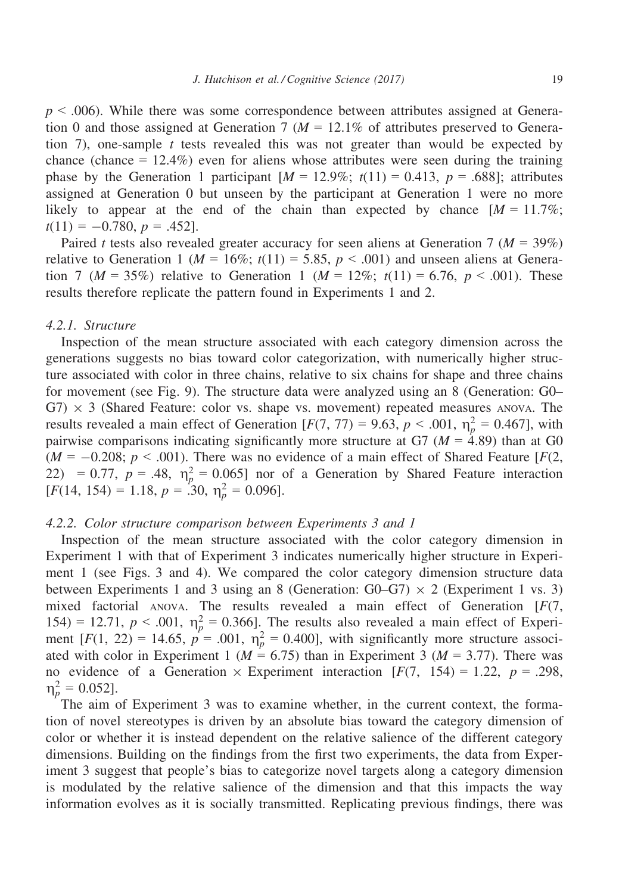$p \leq 0.006$ ). While there was some correspondence between attributes assigned at Generation 0 and those assigned at Generation 7 ( $M = 12.1\%$  of attributes preserved to Generation 7), one-sample  $t$  tests revealed this was not greater than would be expected by chance (chance  $= 12.4\%$ ) even for aliens whose attributes were seen during the training phase by the Generation 1 participant  $[M = 12.9\%; t(11) = 0.413, p = .688]$ ; attributes assigned at Generation 0 but unseen by the participant at Generation 1 were no more likely to appear at the end of the chain than expected by chance  $[M = 11.7\%;$  $t(11) = -0.780, p = .452$ .

Paired t tests also revealed greater accuracy for seen aliens at Generation 7 ( $M = 39\%$ ) relative to Generation 1 ( $M = 16\%$ ;  $t(11) = 5.85$ ,  $p < .001$ ) and unseen aliens at Generation 7 ( $M = 35\%$ ) relative to Generation 1 ( $M = 12\%$ ;  $t(11) = 6.76$ ,  $p < .001$ ). These results therefore replicate the pattern found in Experiments 1 and 2.

#### 4.2.1. Structure

Inspection of the mean structure associated with each category dimension across the generations suggests no bias toward color categorization, with numerically higher structure associated with color in three chains, relative to six chains for shape and three chains for movement (see Fig. 9). The structure data were analyzed using an 8 (Generation: G0–  $G7$ )  $\times$  3 (Shared Feature: color vs. shape vs. movement) repeated measures ANOVA. The results revealed a main effect of Generation  $[F(7, 77) = 9.63, p < .001, \eta_p^2 = 0.467]$ , with pairwise comparisons indicating significantly more structure at G7 ( $M = A$  89) than at G0 pairwise comparisons indicating significantly more structure at G7 ( $M = 4.89$ ) than at G0  $(M = -0.208; p < .001)$ . There was no evidence of a main effect of Shared Feature [F(2, 22) = 0.77,  $p = .48$ ,  $\eta_p^2 = 0.065$ ] nor of a Generation by Shared Feature interaction  $E(14.154) = 1.18$ ,  $p = .30$ ,  $p^2 = 0.0961$ [ $F(14, 154) = 1.18$ ,  $p = .30$ ,  $\eta_p^2 = 0.096$ ].

#### 4.2.2. Color structure comparison between Experiments 3 and 1

Inspection of the mean structure associated with the color category dimension in Experiment 1 with that of Experiment 3 indicates numerically higher structure in Experiment 1 (see Figs. 3 and 4). We compared the color category dimension structure data between Experiments 1 and 3 using an 8 (Generation:  $G0-G7$ )  $\times$  2 (Experiment 1 vs. 3) mixed factorial ANOVA. The results revealed a main effect of Generation  $[F(7, 1)]$ 154) = 12.71,  $p < .001$ ,  $\eta_p^2 = 0.366$ . The results also revealed a main effect of Experi-<br>ment  $[F(1, 22) = 14.65$ ,  $p = .001$ ,  $p^2 = 0.4001$ , with significantly more structure associment  $[F(1, 22) = 14.65, p = .001, \eta_p^2 = 0.400]$ , with significantly more structure associ-<br>ated with color in Experiment 1 ( $M = 6.75$ ) than in Experiment 3 ( $M = 3.77$ ). There was ated with color in Experiment 1 ( $M = 6.75$ ) than in Experiment 3 ( $M = 3.77$ ). There was no evidence of a Generation  $\times$  Experiment interaction [F(7, 154) = 1.22, p = .298,  $\eta_p^2 = 0.052$ .<br>The aim

The aim of Experiment 3 was to examine whether, in the current context, the formation of novel stereotypes is driven by an absolute bias toward the category dimension of color or whether it is instead dependent on the relative salience of the different category dimensions. Building on the findings from the first two experiments, the data from Experiment 3 suggest that people's bias to categorize novel targets along a category dimension is modulated by the relative salience of the dimension and that this impacts the way information evolves as it is socially transmitted. Replicating previous findings, there was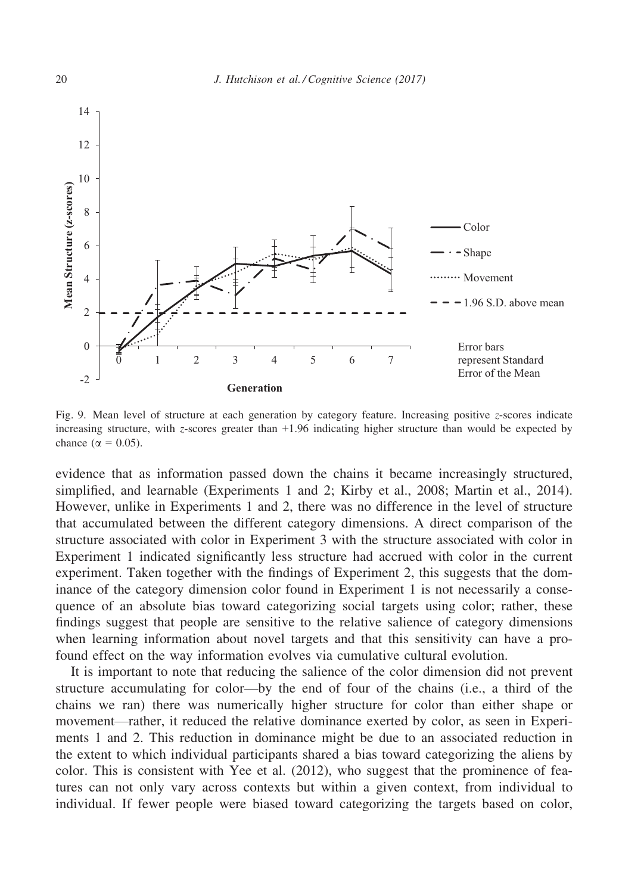

Fig. 9. Mean level of structure at each generation by category feature. Increasing positive z-scores indicate increasing structure, with z-scores greater than +1.96 indicating higher structure than would be expected by chance ( $\alpha = 0.05$ ).

evidence that as information passed down the chains it became increasingly structured, simplified, and learnable (Experiments 1 and 2; Kirby et al., 2008; Martin et al., 2014). However, unlike in Experiments 1 and 2, there was no difference in the level of structure that accumulated between the different category dimensions. A direct comparison of the structure associated with color in Experiment 3 with the structure associated with color in Experiment 1 indicated significantly less structure had accrued with color in the current experiment. Taken together with the findings of Experiment 2, this suggests that the dominance of the category dimension color found in Experiment 1 is not necessarily a consequence of an absolute bias toward categorizing social targets using color; rather, these findings suggest that people are sensitive to the relative salience of category dimensions when learning information about novel targets and that this sensitivity can have a profound effect on the way information evolves via cumulative cultural evolution.

It is important to note that reducing the salience of the color dimension did not prevent structure accumulating for color—by the end of four of the chains (i.e., a third of the chains we ran) there was numerically higher structure for color than either shape or movement—rather, it reduced the relative dominance exerted by color, as seen in Experiments 1 and 2. This reduction in dominance might be due to an associated reduction in the extent to which individual participants shared a bias toward categorizing the aliens by color. This is consistent with Yee et al. (2012), who suggest that the prominence of features can not only vary across contexts but within a given context, from individual to individual. If fewer people were biased toward categorizing the targets based on color,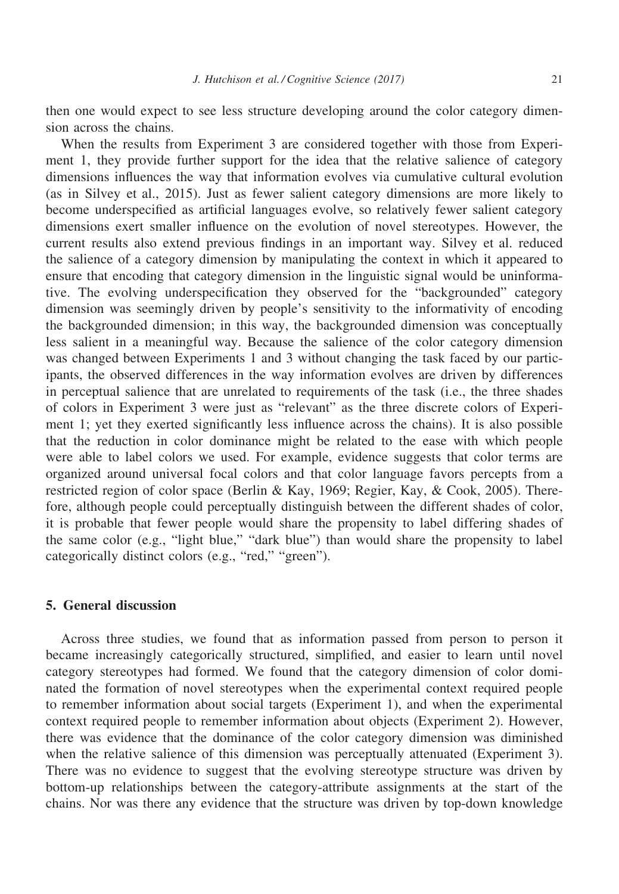then one would expect to see less structure developing around the color category dimension across the chains.

When the results from Experiment 3 are considered together with those from Experiment 1, they provide further support for the idea that the relative salience of category dimensions influences the way that information evolves via cumulative cultural evolution (as in Silvey et al., 2015). Just as fewer salient category dimensions are more likely to become underspecified as artificial languages evolve, so relatively fewer salient category dimensions exert smaller influence on the evolution of novel stereotypes. However, the current results also extend previous findings in an important way. Silvey et al. reduced the salience of a category dimension by manipulating the context in which it appeared to ensure that encoding that category dimension in the linguistic signal would be uninformative. The evolving underspecification they observed for the "backgrounded" category dimension was seemingly driven by people's sensitivity to the informativity of encoding the backgrounded dimension; in this way, the backgrounded dimension was conceptually less salient in a meaningful way. Because the salience of the color category dimension was changed between Experiments 1 and 3 without changing the task faced by our participants, the observed differences in the way information evolves are driven by differences in perceptual salience that are unrelated to requirements of the task (i.e., the three shades of colors in Experiment 3 were just as "relevant" as the three discrete colors of Experiment 1; yet they exerted significantly less influence across the chains). It is also possible that the reduction in color dominance might be related to the ease with which people were able to label colors we used. For example, evidence suggests that color terms are organized around universal focal colors and that color language favors percepts from a restricted region of color space (Berlin & Kay, 1969; Regier, Kay, & Cook, 2005). Therefore, although people could perceptually distinguish between the different shades of color, it is probable that fewer people would share the propensity to label differing shades of the same color (e.g., "light blue," "dark blue") than would share the propensity to label categorically distinct colors (e.g., "red," "green").

# 5. General discussion

Across three studies, we found that as information passed from person to person it became increasingly categorically structured, simplified, and easier to learn until novel category stereotypes had formed. We found that the category dimension of color dominated the formation of novel stereotypes when the experimental context required people to remember information about social targets (Experiment 1), and when the experimental context required people to remember information about objects (Experiment 2). However, there was evidence that the dominance of the color category dimension was diminished when the relative salience of this dimension was perceptually attenuated (Experiment 3). There was no evidence to suggest that the evolving stereotype structure was driven by bottom-up relationships between the category-attribute assignments at the start of the chains. Nor was there any evidence that the structure was driven by top-down knowledge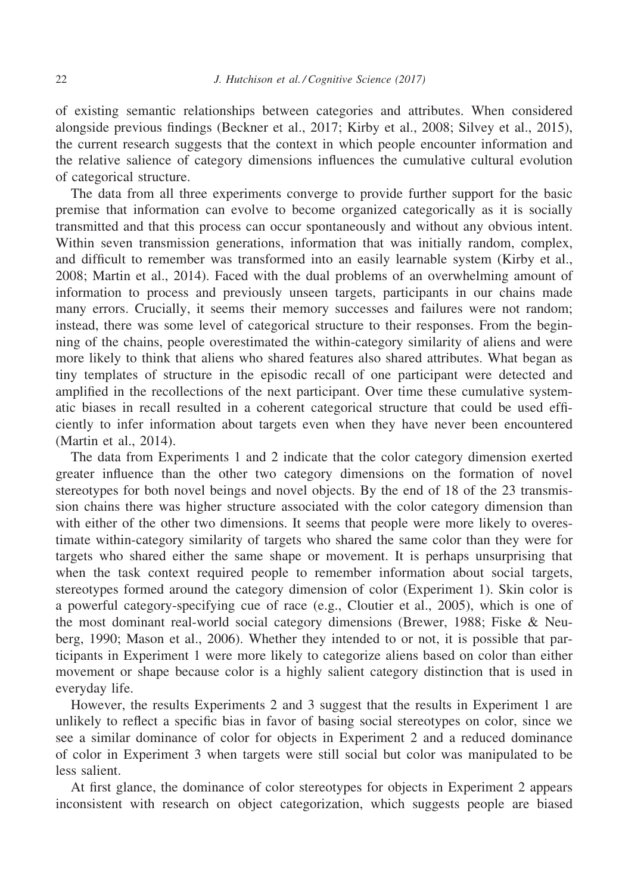of existing semantic relationships between categories and attributes. When considered alongside previous findings (Beckner et al., 2017; Kirby et al., 2008; Silvey et al., 2015), the current research suggests that the context in which people encounter information and the relative salience of category dimensions influences the cumulative cultural evolution of categorical structure.

The data from all three experiments converge to provide further support for the basic premise that information can evolve to become organized categorically as it is socially transmitted and that this process can occur spontaneously and without any obvious intent. Within seven transmission generations, information that was initially random, complex, and difficult to remember was transformed into an easily learnable system (Kirby et al., 2008; Martin et al., 2014). Faced with the dual problems of an overwhelming amount of information to process and previously unseen targets, participants in our chains made many errors. Crucially, it seems their memory successes and failures were not random; instead, there was some level of categorical structure to their responses. From the beginning of the chains, people overestimated the within-category similarity of aliens and were more likely to think that aliens who shared features also shared attributes. What began as tiny templates of structure in the episodic recall of one participant were detected and amplified in the recollections of the next participant. Over time these cumulative systematic biases in recall resulted in a coherent categorical structure that could be used efficiently to infer information about targets even when they have never been encountered (Martin et al., 2014).

The data from Experiments 1 and 2 indicate that the color category dimension exerted greater influence than the other two category dimensions on the formation of novel stereotypes for both novel beings and novel objects. By the end of 18 of the 23 transmission chains there was higher structure associated with the color category dimension than with either of the other two dimensions. It seems that people were more likely to overestimate within-category similarity of targets who shared the same color than they were for targets who shared either the same shape or movement. It is perhaps unsurprising that when the task context required people to remember information about social targets, stereotypes formed around the category dimension of color (Experiment 1). Skin color is a powerful category-specifying cue of race (e.g., Cloutier et al., 2005), which is one of the most dominant real-world social category dimensions (Brewer, 1988; Fiske & Neuberg, 1990; Mason et al., 2006). Whether they intended to or not, it is possible that participants in Experiment 1 were more likely to categorize aliens based on color than either movement or shape because color is a highly salient category distinction that is used in everyday life.

However, the results Experiments 2 and 3 suggest that the results in Experiment 1 are unlikely to reflect a specific bias in favor of basing social stereotypes on color, since we see a similar dominance of color for objects in Experiment 2 and a reduced dominance of color in Experiment 3 when targets were still social but color was manipulated to be less salient.

At first glance, the dominance of color stereotypes for objects in Experiment 2 appears inconsistent with research on object categorization, which suggests people are biased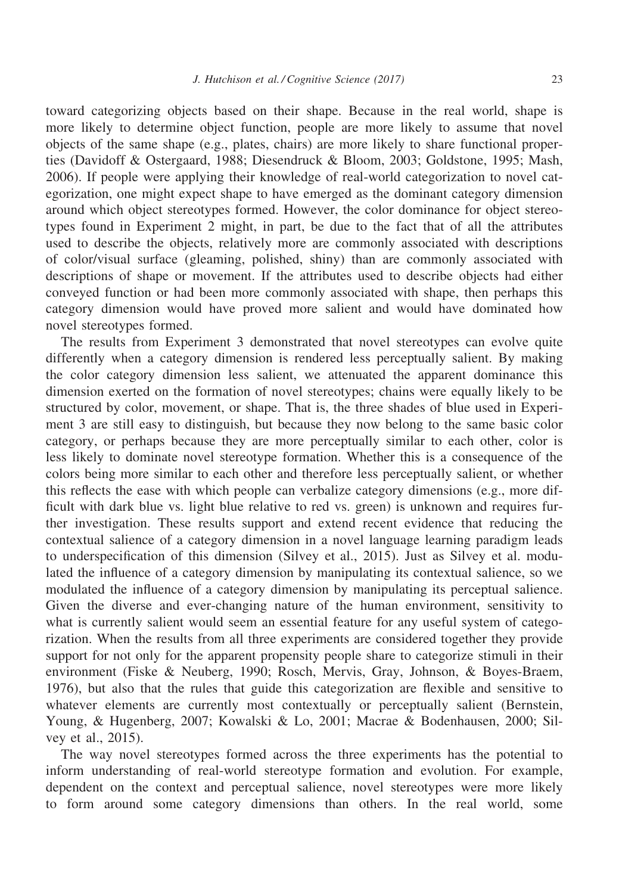toward categorizing objects based on their shape. Because in the real world, shape is more likely to determine object function, people are more likely to assume that novel objects of the same shape (e.g., plates, chairs) are more likely to share functional properties (Davidoff & Ostergaard, 1988; Diesendruck & Bloom, 2003; Goldstone, 1995; Mash, 2006). If people were applying their knowledge of real-world categorization to novel categorization, one might expect shape to have emerged as the dominant category dimension around which object stereotypes formed. However, the color dominance for object stereotypes found in Experiment 2 might, in part, be due to the fact that of all the attributes used to describe the objects, relatively more are commonly associated with descriptions of color/visual surface (gleaming, polished, shiny) than are commonly associated with descriptions of shape or movement. If the attributes used to describe objects had either conveyed function or had been more commonly associated with shape, then perhaps this category dimension would have proved more salient and would have dominated how novel stereotypes formed.

The results from Experiment 3 demonstrated that novel stereotypes can evolve quite differently when a category dimension is rendered less perceptually salient. By making the color category dimension less salient, we attenuated the apparent dominance this dimension exerted on the formation of novel stereotypes; chains were equally likely to be structured by color, movement, or shape. That is, the three shades of blue used in Experiment 3 are still easy to distinguish, but because they now belong to the same basic color category, or perhaps because they are more perceptually similar to each other, color is less likely to dominate novel stereotype formation. Whether this is a consequence of the colors being more similar to each other and therefore less perceptually salient, or whether this reflects the ease with which people can verbalize category dimensions (e.g., more difficult with dark blue vs. light blue relative to red vs. green) is unknown and requires further investigation. These results support and extend recent evidence that reducing the contextual salience of a category dimension in a novel language learning paradigm leads to underspecification of this dimension (Silvey et al., 2015). Just as Silvey et al. modulated the influence of a category dimension by manipulating its contextual salience, so we modulated the influence of a category dimension by manipulating its perceptual salience. Given the diverse and ever-changing nature of the human environment, sensitivity to what is currently salient would seem an essential feature for any useful system of categorization. When the results from all three experiments are considered together they provide support for not only for the apparent propensity people share to categorize stimuli in their environment (Fiske & Neuberg, 1990; Rosch, Mervis, Gray, Johnson, & Boyes-Braem, 1976), but also that the rules that guide this categorization are flexible and sensitive to whatever elements are currently most contextually or perceptually salient (Bernstein, Young, & Hugenberg, 2007; Kowalski & Lo, 2001; Macrae & Bodenhausen, 2000; Silvey et al., 2015).

The way novel stereotypes formed across the three experiments has the potential to inform understanding of real-world stereotype formation and evolution. For example, dependent on the context and perceptual salience, novel stereotypes were more likely to form around some category dimensions than others. In the real world, some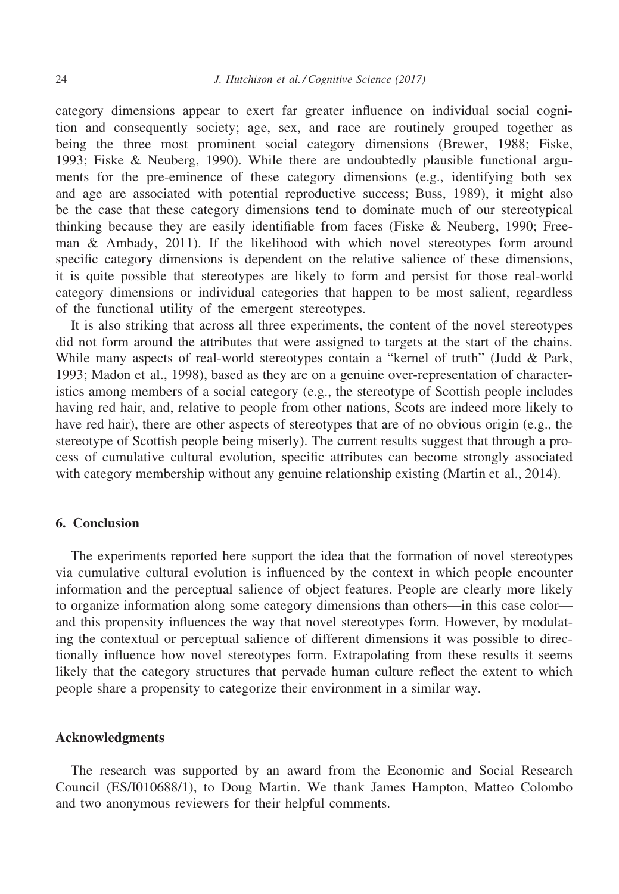category dimensions appear to exert far greater influence on individual social cognition and consequently society; age, sex, and race are routinely grouped together as being the three most prominent social category dimensions (Brewer, 1988; Fiske, 1993; Fiske & Neuberg, 1990). While there are undoubtedly plausible functional arguments for the pre-eminence of these category dimensions (e.g., identifying both sex and age are associated with potential reproductive success; Buss, 1989), it might also be the case that these category dimensions tend to dominate much of our stereotypical thinking because they are easily identifiable from faces (Fiske & Neuberg, 1990; Freeman & Ambady, 2011). If the likelihood with which novel stereotypes form around specific category dimensions is dependent on the relative salience of these dimensions, it is quite possible that stereotypes are likely to form and persist for those real-world category dimensions or individual categories that happen to be most salient, regardless of the functional utility of the emergent stereotypes.

It is also striking that across all three experiments, the content of the novel stereotypes did not form around the attributes that were assigned to targets at the start of the chains. While many aspects of real-world stereotypes contain a "kernel of truth" (Judd & Park, 1993; Madon et al., 1998), based as they are on a genuine over-representation of characteristics among members of a social category (e.g., the stereotype of Scottish people includes having red hair, and, relative to people from other nations, Scots are indeed more likely to have red hair), there are other aspects of stereotypes that are of no obvious origin (e.g., the stereotype of Scottish people being miserly). The current results suggest that through a process of cumulative cultural evolution, specific attributes can become strongly associated with category membership without any genuine relationship existing (Martin et al., 2014).

# 6. Conclusion

The experiments reported here support the idea that the formation of novel stereotypes via cumulative cultural evolution is influenced by the context in which people encounter information and the perceptual salience of object features. People are clearly more likely to organize information along some category dimensions than others—in this case color and this propensity influences the way that novel stereotypes form. However, by modulating the contextual or perceptual salience of different dimensions it was possible to directionally influence how novel stereotypes form. Extrapolating from these results it seems likely that the category structures that pervade human culture reflect the extent to which people share a propensity to categorize their environment in a similar way.

# Acknowledgments

The research was supported by an award from the Economic and Social Research Council (ES/I010688/1), to Doug Martin. We thank James Hampton, Matteo Colombo and two anonymous reviewers for their helpful comments.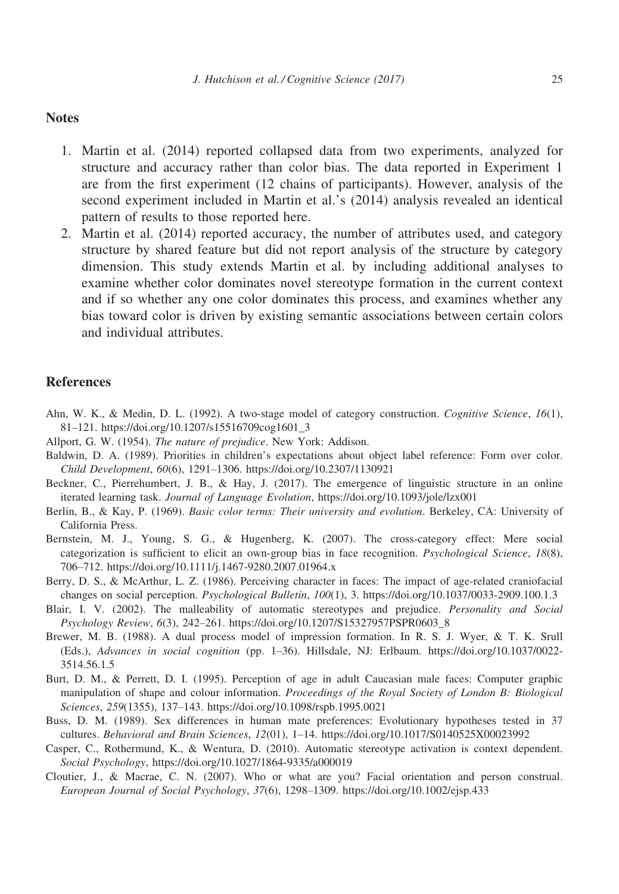# **Notes**

- 1. Martin et al. (2014) reported collapsed data from two experiments, analyzed for structure and accuracy rather than color bias. The data reported in Experiment 1 are from the first experiment (12 chains of participants). However, analysis of the second experiment included in Martin et al.'s (2014) analysis revealed an identical pattern of results to those reported here.
- 2. Martin et al. (2014) reported accuracy, the number of attributes used, and category structure by shared feature but did not report analysis of the structure by category dimension. This study extends Martin et al. by including additional analyses to examine whether color dominates novel stereotype formation in the current context and if so whether any one color dominates this process, and examines whether any bias toward color is driven by existing semantic associations between certain colors and individual attributes.

# References

- Ahn, W. K., & Medin, D. L. (1992). A two-stage model of category construction. Cognitive Science, 16(1), 81–121. [https://doi.org/10.1207/s15516709cog1601\\_3](https://doi.org/10.1207/s15516709cog1601_3)
- Allport, G. W. (1954). The nature of prejudice. New York: Addison.
- Baldwin, D. A. (1989). Priorities in children's expectations about object label reference: Form over color. Child Development, 60(6), 1291–1306.<https://doi.org/10.2307/1130921>
- Beckner, C., Pierrehumbert, J. B., & Hay, J. (2017). The emergence of linguistic structure in an online iterated learning task. Journal of Language Evolution,<https://doi.org/10.1093/jole/lzx001>
- Berlin, B., & Kay, P. (1969). Basic color terms: Their university and evolution. Berkeley, CA: University of California Press.
- Bernstein, M. J., Young, S. G., & Hugenberg, K. (2007). The cross-category effect: Mere social categorization is sufficient to elicit an own-group bias in face recognition. Psychological Science, 18(8), 706–712.<https://doi.org/10.1111/j.1467-9280.2007.01964.x>
- Berry, D. S., & McArthur, L. Z. (1986). Perceiving character in faces: The impact of age-related craniofacial changes on social perception. *Psychological Bulletin*, 100(1), 3.<https://doi.org/10.1037/0033-2909.100.1.3>
- Blair, I. V. (2002). The malleability of automatic stereotypes and prejudice. Personality and Social Psychology Review, 6(3), 242–261. [https://doi.org/10.1207/S15327957PSPR0603\\_8](https://doi.org/10.1207/S15327957PSPR0603_8)
- Brewer, M. B. (1988). A dual process model of impression formation. In R. S. J. Wyer, & T. K. Srull (Eds.), Advances in social cognition (pp. 1–36). Hillsdale, NJ: Erlbaum. [https://doi.org/10.1037/0022-](https://doi.org/10.1037/0022-3514.56.1.5) [3514.56.1.5](https://doi.org/10.1037/0022-3514.56.1.5)
- Burt, D. M., & Perrett, D. I. (1995). Perception of age in adult Caucasian male faces: Computer graphic manipulation of shape and colour information. Proceedings of the Royal Society of London B: Biological Sciences, 259(1355), 137–143.<https://doi.org/10.1098/rspb.1995.0021>
- Buss, D. M. (1989). Sex differences in human mate preferences: Evolutionary hypotheses tested in 37 cultures. Behavioral and Brain Sciences, 12(01), 1–14.<https://doi.org/10.1017/S0140525X00023992>
- Casper, C., Rothermund, K., & Wentura, D. (2010). Automatic stereotype activation is context dependent. Social Psychology,<https://doi.org/10.1027/1864-9335/a000019>
- Cloutier, J., & Macrae, C. N. (2007). Who or what are you? Facial orientation and person construal. European Journal of Social Psychology, 37(6), 1298–1309.<https://doi.org/10.1002/ejsp.433>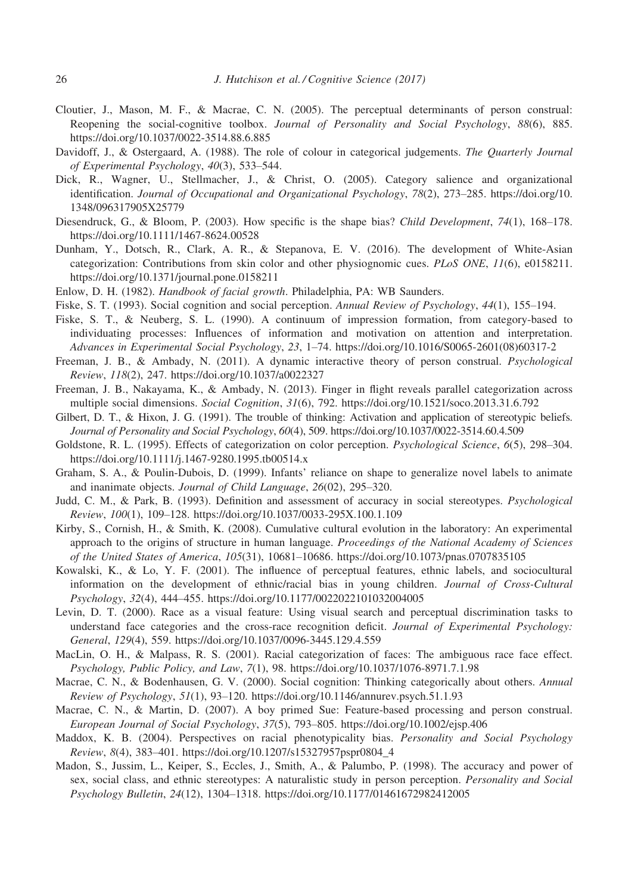- Cloutier, J., Mason, M. F., & Macrae, C. N. (2005). The perceptual determinants of person construal: Reopening the social-cognitive toolbox. Journal of Personality and Social Psychology, 88(6), 885. <https://doi.org/10.1037/0022-3514.88.6.885>
- Davidoff, J., & Ostergaard, A. (1988). The role of colour in categorical judgements. The Quarterly Journal of Experimental Psychology, 40(3), 533–544.
- Dick, R., Wagner, U., Stellmacher, J., & Christ, O. (2005). Category salience and organizational identification. Journal of Occupational and Organizational Psychology, 78(2), 273–285. [https://doi.org/10.](https://doi.org/10.1348/096317905X25779) [1348/096317905X25779](https://doi.org/10.1348/096317905X25779)
- Diesendruck, G., & Bloom, P. (2003). How specific is the shape bias? Child Development, 74(1), 168–178. <https://doi.org/10.1111/1467-8624.00528>
- Dunham, Y., Dotsch, R., Clark, A. R., & Stepanova, E. V. (2016). The development of White-Asian categorization: Contributions from skin color and other physiognomic cues. PLoS ONE, 11(6), e0158211. <https://doi.org/10.1371/journal.pone.0158211>
- Enlow, D. H. (1982). Handbook of facial growth. Philadelphia, PA: WB Saunders.
- Fiske, S. T. (1993). Social cognition and social perception. Annual Review of Psychology, 44(1), 155–194.
- Fiske, S. T., & Neuberg, S. L. (1990). A continuum of impression formation, from category-based to individuating processes: Influences of information and motivation on attention and interpretation. Advances in Experimental Social Psychology, 23, 1–74. [https://doi.org/10.1016/S0065-2601\(08\)60317-2](https://doi.org/10.1016/S0065-2601(08)60317-2)
- Freeman, J. B., & Ambady, N. (2011). A dynamic interactive theory of person construal. *Psychological* Review, 118(2), 247.<https://doi.org/10.1037/a0022327>
- Freeman, J. B., Nakayama, K., & Ambady, N. (2013). Finger in flight reveals parallel categorization across multiple social dimensions. Social Cognition, 31(6), 792.<https://doi.org/10.1521/soco.2013.31.6.792>
- Gilbert, D. T., & Hixon, J. G. (1991). The trouble of thinking: Activation and application of stereotypic beliefs. Journal of Personality and Social Psychology, 60(4), 509.<https://doi.org/10.1037/0022-3514.60.4.509>
- Goldstone, R. L. (1995). Effects of categorization on color perception. *Psychological Science*, 6(5), 298–304. <https://doi.org/10.1111/j.1467-9280.1995.tb00514.x>
- Graham, S. A., & Poulin-Dubois, D. (1999). Infants' reliance on shape to generalize novel labels to animate and inanimate objects. Journal of Child Language, 26(02), 295–320.
- Judd, C. M., & Park, B. (1993). Definition and assessment of accuracy in social stereotypes. Psychological Review, 100(1), 109–128.<https://doi.org/10.1037/0033-295X.100.1.109>
- Kirby, S., Cornish, H., & Smith, K. (2008). Cumulative cultural evolution in the laboratory: An experimental approach to the origins of structure in human language. Proceedings of the National Academy of Sciences of the United States of America, 105(31), 10681–10686.<https://doi.org/10.1073/pnas.0707835105>
- Kowalski, K., & Lo, Y. F. (2001). The influence of perceptual features, ethnic labels, and sociocultural information on the development of ethnic/racial bias in young children. Journal of Cross-Cultural Psychology, 32(4), 444–455.<https://doi.org/10.1177/0022022101032004005>
- Levin, D. T. (2000). Race as a visual feature: Using visual search and perceptual discrimination tasks to understand face categories and the cross-race recognition deficit. Journal of Experimental Psychology: General, 129(4), 559.<https://doi.org/10.1037/0096-3445.129.4.559>
- MacLin, O. H., & Malpass, R. S. (2001). Racial categorization of faces: The ambiguous race face effect. Psychology, Public Policy, and Law, 7(1), 98.<https://doi.org/10.1037/1076-8971.7.1.98>
- Macrae, C. N., & Bodenhausen, G. V. (2000). Social cognition: Thinking categorically about others. Annual Review of Psychology, 51(1), 93–120.<https://doi.org/10.1146/annurev.psych.51.1.93>
- Macrae, C. N., & Martin, D. (2007). A boy primed Sue: Feature-based processing and person construal. European Journal of Social Psychology, 37(5), 793–805.<https://doi.org/10.1002/ejsp.406>
- Maddox, K. B. (2004). Perspectives on racial phenotypicality bias. Personality and Social Psychology Review, 8(4), 383–401. [https://doi.org/10.1207/s15327957pspr0804\\_4](https://doi.org/10.1207/s15327957pspr0804_4)
- Madon, S., Jussim, L., Keiper, S., Eccles, J., Smith, A., & Palumbo, P. (1998). The accuracy and power of sex, social class, and ethnic stereotypes: A naturalistic study in person perception. Personality and Social Psychology Bulletin, 24(12), 1304–1318.<https://doi.org/10.1177/01461672982412005>